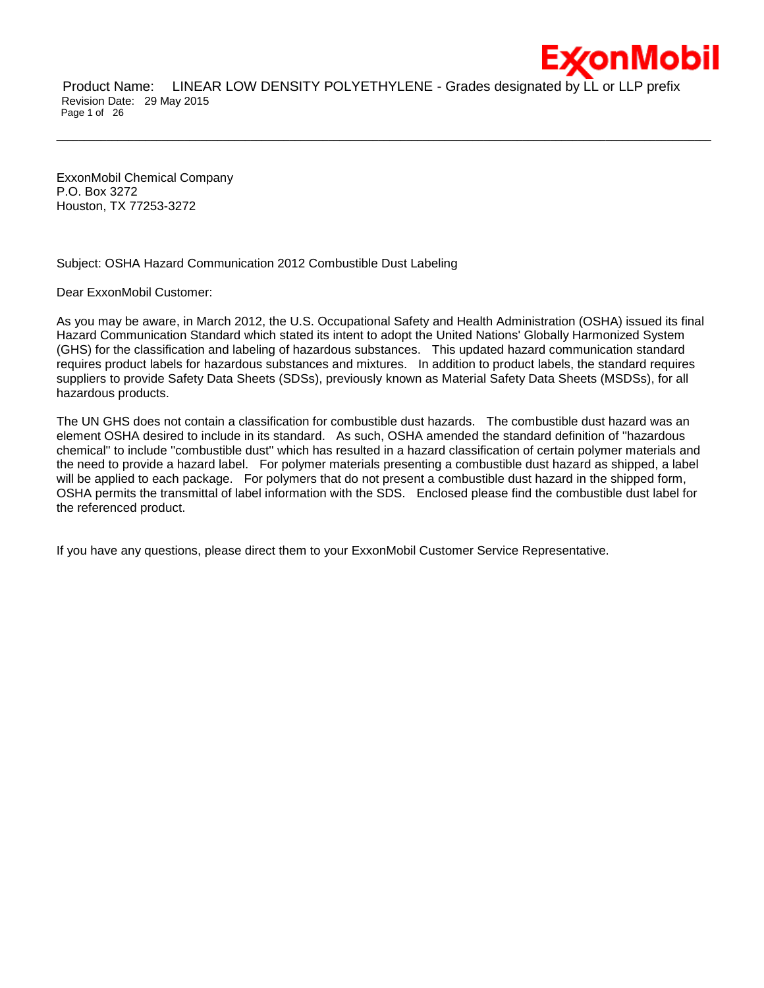

Product Name: LINEAR LOW DENSITY POLYETHYLENE - Grades designated by LL or LLP prefix Revision Date: 29 May 2015 Page 1 of 26

\_\_\_\_\_\_\_\_\_\_\_\_\_\_\_\_\_\_\_\_\_\_\_\_\_\_\_\_\_\_\_\_\_\_\_\_\_\_\_\_\_\_\_\_\_\_\_\_\_\_\_\_\_\_\_\_\_\_\_\_\_\_\_\_\_\_\_\_\_\_\_\_\_\_\_\_\_\_\_\_\_\_\_\_\_\_\_\_\_\_\_\_\_\_\_\_\_\_\_\_\_\_\_\_\_\_\_\_\_\_\_\_\_\_\_\_\_\_

ExxonMobil Chemical Company P.O. Box 3272 Houston, TX 77253-3272

Subject: OSHA Hazard Communication 2012 Combustible Dust Labeling

Dear ExxonMobil Customer:

As you may be aware, in March 2012, the U.S. Occupational Safety and Health Administration (OSHA) issued its final Hazard Communication Standard which stated its intent to adopt the United Nations' Globally Harmonized System (GHS) for the classification and labeling of hazardous substances. This updated hazard communication standard requires product labels for hazardous substances and mixtures. In addition to product labels, the standard requires suppliers to provide Safety Data Sheets (SDSs), previously known as Material Safety Data Sheets (MSDSs), for all hazardous products.

The UN GHS does not contain a classification for combustible dust hazards. The combustible dust hazard was an element OSHA desired to include in its standard. As such, OSHA amended the standard definition of ''hazardous chemical'' to include ''combustible dust'' which has resulted in a hazard classification of certain polymer materials and the need to provide a hazard label. For polymer materials presenting a combustible dust hazard as shipped, a label will be applied to each package. For polymers that do not present a combustible dust hazard in the shipped form, OSHA permits the transmittal of label information with the SDS. Enclosed please find the combustible dust label for the referenced product.

If you have any questions, please direct them to your ExxonMobil Customer Service Representative.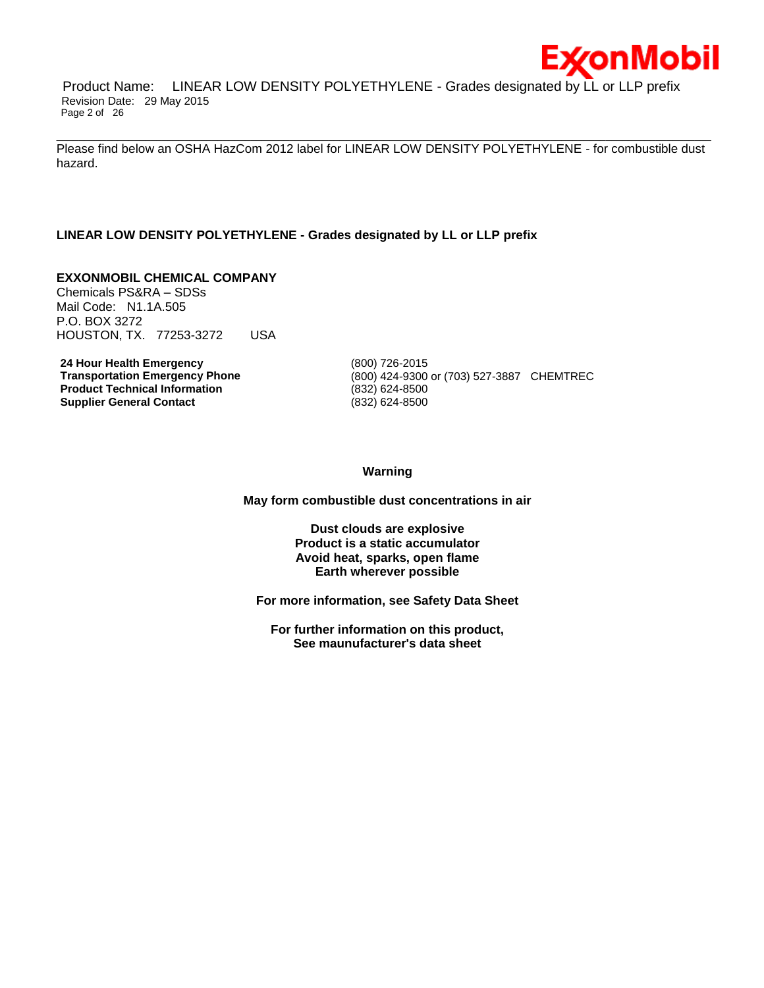

Product Name: LINEAR LOW DENSITY POLYETHYLENE - Grades designated by LL or LLP prefix Revision Date: 29 May 2015 Page 2 of 26

\_\_\_\_\_\_\_\_\_\_\_\_\_\_\_\_\_\_\_\_\_\_\_\_\_\_\_\_\_\_\_\_\_\_\_\_\_\_\_\_\_\_\_\_\_\_\_\_\_\_\_\_\_\_\_\_\_\_\_\_\_\_\_\_\_\_\_\_\_\_\_\_\_\_\_\_\_\_\_\_\_\_\_\_\_\_\_\_\_\_\_\_\_\_\_\_\_\_\_\_\_\_\_\_\_\_\_\_\_\_\_\_\_\_\_\_\_\_ Please find below an OSHA HazCom 2012 label for LINEAR LOW DENSITY POLYETHYLENE - for combustible dust hazard.

# **LINEAR LOW DENSITY POLYETHYLENE - Grades designated by LL or LLP prefix**

# **EXXONMOBIL CHEMICAL COMPANY**

Chemicals PS&RA – SDSs Mail Code: N1.1A.505 P.O. BOX 3272 HOUSTON, TX. 77253-3272 USA

**24 Hour Health Emergency** (800) 726-2015 **Product Technical Information** (832) 624-8500 **Supplier General Contact** (832) 624-8500

**Transportation Emergency Phone** (800) 424-9300 or (703) 527-3887 CHEMTREC

**Warning**

**May form combustible dust concentrations in air**

**Dust clouds are explosive Product is a static accumulator Avoid heat, sparks, open flame Earth wherever possible**

**For more information, see Safety Data Sheet**

**For further information on this product, See maunufacturer's data sheet**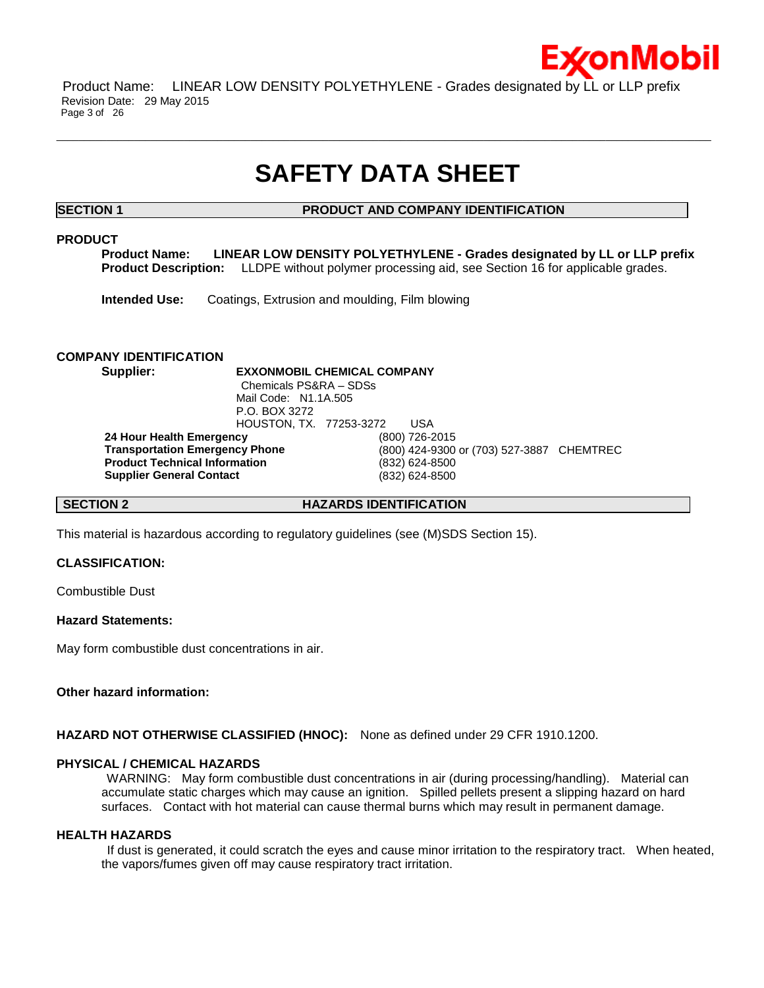

Product Name: LINEAR LOW DENSITY POLYETHYLENE - Grades designated by LL or LLP prefix Revision Date: 29 May 2015 Page 3 of 26

# **SAFETY DATA SHEET**

\_\_\_\_\_\_\_\_\_\_\_\_\_\_\_\_\_\_\_\_\_\_\_\_\_\_\_\_\_\_\_\_\_\_\_\_\_\_\_\_\_\_\_\_\_\_\_\_\_\_\_\_\_\_\_\_\_\_\_\_\_\_\_\_\_\_\_\_\_\_\_\_\_\_\_\_\_\_\_\_\_\_\_\_\_\_\_\_\_\_\_\_\_\_\_\_\_\_\_\_\_\_\_\_\_\_\_\_\_\_\_\_\_\_\_\_\_\_

**SECTION 1 PRODUCT AND COMPANY IDENTIFICATION**

# **PRODUCT**

**Product Name: LINEAR LOW DENSITY POLYETHYLENE - Grades designated by LL or LLP prefix Product Description:** LLDPE without polymer processing aid, see Section 16 for applicable grades.

**Intended Use:** Coatings, Extrusion and moulding, Film blowing

# **COMPANY IDENTIFICATION**

**Supplier: EXXONMOBIL CHEMICAL COMPANY** Chemicals PS&RA – SDSs Mail Code: N1.1A.505 P.O. BOX 3272 HOUSTON, TX. 77253-3272 USA **24 Hour Health Emergency** (800) 726-2015 **Transportation Emergency Phone** (800) 424-9300 or (703) 527-3887 CHEMTREC **Product Technical Information** (832) 624-8500 **Supplier General Contact** (832) 624-8500

**SECTION 2 HAZARDS IDENTIFICATION**

This material is hazardous according to regulatory guidelines (see (M)SDS Section 15).

# **CLASSIFICATION:**

Combustible Dust

# **Hazard Statements:**

May form combustible dust concentrations in air.

# **Other hazard information:**

**HAZARD NOT OTHERWISE CLASSIFIED (HNOC):** None as defined under 29 CFR 1910.1200.

# **PHYSICAL / CHEMICAL HAZARDS**

WARNING: May form combustible dust concentrations in air (during processing/handling). Material can accumulate static charges which may cause an ignition. Spilled pellets present a slipping hazard on hard surfaces. Contact with hot material can cause thermal burns which may result in permanent damage.

### **HEALTH HAZARDS**

If dust is generated, it could scratch the eyes and cause minor irritation to the respiratory tract. When heated, the vapors/fumes given off may cause respiratory tract irritation.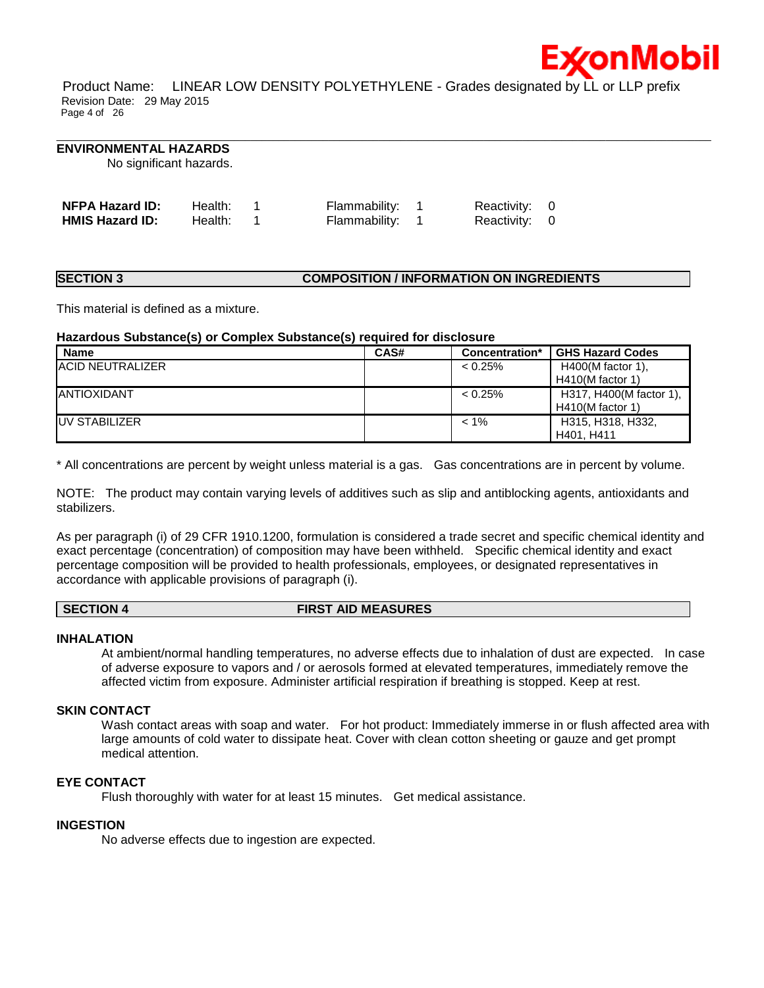

Product Name: LINEAR LOW DENSITY POLYETHYLENE - Grades designated by LL or LLP prefix Revision Date: 29 May 2015 Page 4 of 26

\_\_\_\_\_\_\_\_\_\_\_\_\_\_\_\_\_\_\_\_\_\_\_\_\_\_\_\_\_\_\_\_\_\_\_\_\_\_\_\_\_\_\_\_\_\_\_\_\_\_\_\_\_\_\_\_\_\_\_\_\_\_\_\_\_\_\_\_\_\_\_\_\_\_\_\_\_\_\_\_\_\_\_\_\_\_\_\_\_\_\_\_\_\_\_\_\_\_\_\_\_\_\_\_\_\_\_\_\_\_\_\_\_\_\_\_\_\_

### **ENVIRONMENTAL HAZARDS**

No significant hazards.

| <b>NFPA Hazard ID:</b> | Health: | Flammability: 1 | Reactivity: 0 |  |
|------------------------|---------|-----------------|---------------|--|
| <b>HMIS Hazard ID:</b> | Health: | Flammability: 1 | Reactivity: 0 |  |

# **SECTION 3 COMPOSITION / INFORMATION ON INGREDIENTS**

This material is defined as a mixture.

# **Hazardous Substance(s) or Complex Substance(s) required for disclosure**

| Name                     | CAS# | Concentration* | <b>GHS Hazard Codes</b> |
|--------------------------|------|----------------|-------------------------|
| <b>IACID NEUTRALIZER</b> |      | $< 0.25\%$     | $H400(M$ factor 1),     |
|                          |      |                | $H410(M$ factor 1)      |
| <b>JANTIOXIDANT</b>      |      | $< 0.25\%$     | H317, H400(M factor 1), |
|                          |      |                | $H410(M$ factor 1)      |
| <b>IUV STABILIZER</b>    |      | $< 1\%$        | H315, H318, H332,       |
|                          |      |                | H401, H411              |

\* All concentrations are percent by weight unless material is a gas. Gas concentrations are in percent by volume.

NOTE: The product may contain varying levels of additives such as slip and antiblocking agents, antioxidants and stabilizers.

As per paragraph (i) of 29 CFR 1910.1200, formulation is considered a trade secret and specific chemical identity and exact percentage (concentration) of composition may have been withheld. Specific chemical identity and exact percentage composition will be provided to health professionals, employees, or designated representatives in accordance with applicable provisions of paragraph (i).

### **SECTION 4 FIRST AID MEASURES**

# **INHALATION**

At ambient/normal handling temperatures, no adverse effects due to inhalation of dust are expected. In case of adverse exposure to vapors and / or aerosols formed at elevated temperatures, immediately remove the affected victim from exposure. Administer artificial respiration if breathing is stopped. Keep at rest.

# **SKIN CONTACT**

Wash contact areas with soap and water. For hot product: Immediately immerse in or flush affected area with large amounts of cold water to dissipate heat. Cover with clean cotton sheeting or gauze and get prompt medical attention.

# **EYE CONTACT**

Flush thoroughly with water for at least 15 minutes. Get medical assistance.

# **INGESTION**

No adverse effects due to ingestion are expected.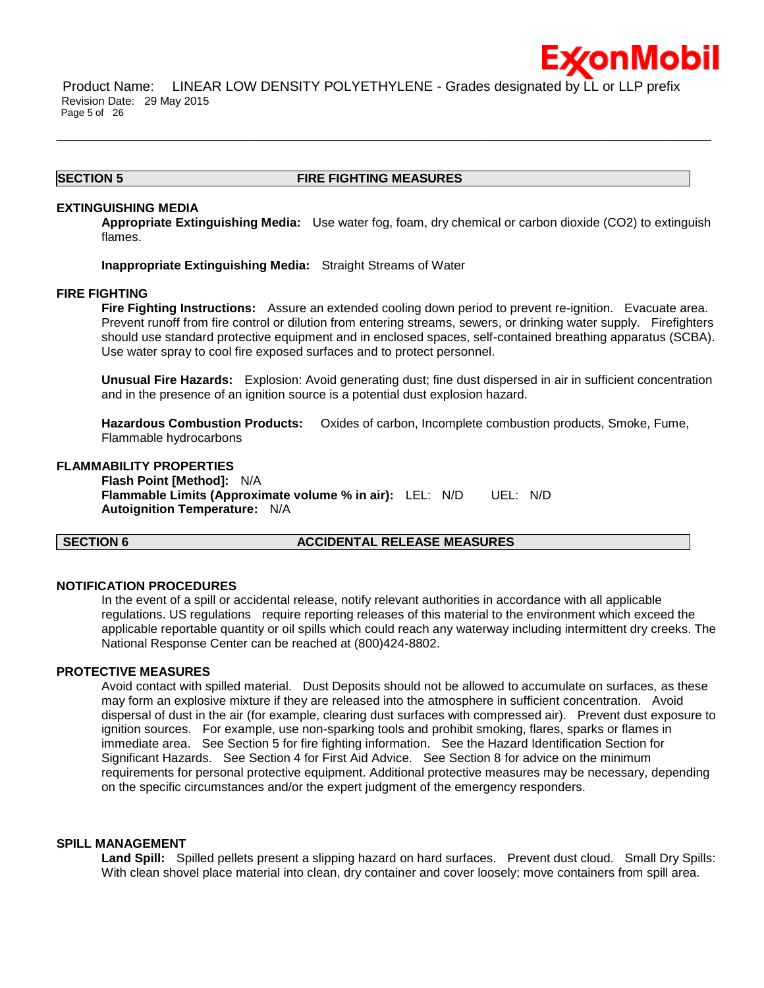

Product Name: LINEAR LOW DENSITY POLYETHYLENE - Grades designated by LL or LLP prefix Revision Date: 29 May 2015 Page 5 of 26

# **SECTION 5 FIRE FIGHTING MEASURES**

\_\_\_\_\_\_\_\_\_\_\_\_\_\_\_\_\_\_\_\_\_\_\_\_\_\_\_\_\_\_\_\_\_\_\_\_\_\_\_\_\_\_\_\_\_\_\_\_\_\_\_\_\_\_\_\_\_\_\_\_\_\_\_\_\_\_\_\_\_\_\_\_\_\_\_\_\_\_\_\_\_\_\_\_\_\_\_\_\_\_\_\_\_\_\_\_\_\_\_\_\_\_\_\_\_\_\_\_\_\_\_\_\_\_\_\_\_\_

# **EXTINGUISHING MEDIA**

**Appropriate Extinguishing Media:** Use water fog, foam, dry chemical or carbon dioxide (CO2) to extinguish flames.

**Inappropriate Extinguishing Media:** Straight Streams of Water

### **FIRE FIGHTING**

**Fire Fighting Instructions:** Assure an extended cooling down period to prevent re-ignition. Evacuate area. Prevent runoff from fire control or dilution from entering streams, sewers, or drinking water supply. Firefighters should use standard protective equipment and in enclosed spaces, self-contained breathing apparatus (SCBA). Use water spray to cool fire exposed surfaces and to protect personnel.

**Unusual Fire Hazards:** Explosion: Avoid generating dust; fine dust dispersed in air in sufficient concentration and in the presence of an ignition source is a potential dust explosion hazard.

**Hazardous Combustion Products:** Oxides of carbon, Incomplete combustion products, Smoke, Fume, Flammable hydrocarbons

# **FLAMMABILITY PROPERTIES**

**Flash Point [Method]:** N/A **Flammable Limits (Approximate volume % in air):** LEL: N/D UEL: N/D **Autoignition Temperature:** N/A

## **SECTION 6 ACCIDENTAL RELEASE MEASURES**

### **NOTIFICATION PROCEDURES**

In the event of a spill or accidental release, notify relevant authorities in accordance with all applicable regulations. US regulations require reporting releases of this material to the environment which exceed the applicable reportable quantity or oil spills which could reach any waterway including intermittent dry creeks. The National Response Center can be reached at (800)424-8802.

### **PROTECTIVE MEASURES**

Avoid contact with spilled material. Dust Deposits should not be allowed to accumulate on surfaces, as these may form an explosive mixture if they are released into the atmosphere in sufficient concentration. Avoid dispersal of dust in the air (for example, clearing dust surfaces with compressed air). Prevent dust exposure to ignition sources. For example, use non-sparking tools and prohibit smoking, flares, sparks or flames in immediate area. See Section 5 for fire fighting information. See the Hazard Identification Section for Significant Hazards. See Section 4 for First Aid Advice. See Section 8 for advice on the minimum requirements for personal protective equipment. Additional protective measures may be necessary, depending on the specific circumstances and/or the expert judgment of the emergency responders.

### **SPILL MANAGEMENT**

**Land Spill:** Spilled pellets present a slipping hazard on hard surfaces. Prevent dust cloud. Small Dry Spills: With clean shovel place material into clean, dry container and cover loosely; move containers from spill area.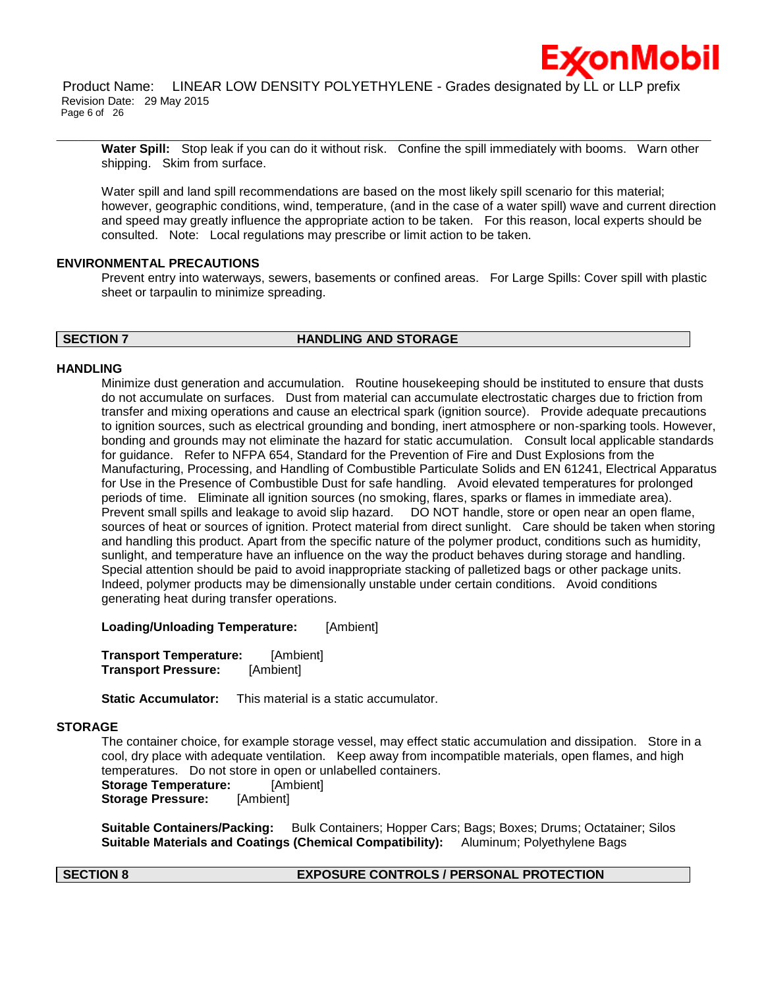

Product Name: LINEAR LOW DENSITY POLYETHYLENE - Grades designated by LL or LLP prefix Revision Date: 29 May 2015 Page 6 of 26

\_\_\_\_\_\_\_\_\_\_\_\_\_\_\_\_\_\_\_\_\_\_\_\_\_\_\_\_\_\_\_\_\_\_\_\_\_\_\_\_\_\_\_\_\_\_\_\_\_\_\_\_\_\_\_\_\_\_\_\_\_\_\_\_\_\_\_\_\_\_\_\_\_\_\_\_\_\_\_\_\_\_\_\_\_\_\_\_\_\_\_\_\_\_\_\_\_\_\_\_\_\_\_\_\_\_\_\_\_\_\_\_\_\_\_\_\_\_

**Water Spill:** Stop leak if you can do it without risk. Confine the spill immediately with booms. Warn other shipping. Skim from surface.

Water spill and land spill recommendations are based on the most likely spill scenario for this material; however, geographic conditions, wind, temperature, (and in the case of a water spill) wave and current direction and speed may greatly influence the appropriate action to be taken. For this reason, local experts should be consulted. Note: Local regulations may prescribe or limit action to be taken.

### **ENVIRONMENTAL PRECAUTIONS**

Prevent entry into waterways, sewers, basements or confined areas. For Large Spills: Cover spill with plastic sheet or tarpaulin to minimize spreading.

### **SECTION 7 HANDLING AND STORAGE**

### **HANDLING**

Minimize dust generation and accumulation. Routine housekeeping should be instituted to ensure that dusts do not accumulate on surfaces. Dust from material can accumulate electrostatic charges due to friction from transfer and mixing operations and cause an electrical spark (ignition source). Provide adequate precautions to ignition sources, such as electrical grounding and bonding, inert atmosphere or non-sparking tools. However, bonding and grounds may not eliminate the hazard for static accumulation. Consult local applicable standards for guidance. Refer to NFPA 654, Standard for the Prevention of Fire and Dust Explosions from the Manufacturing, Processing, and Handling of Combustible Particulate Solids and EN 61241, Electrical Apparatus for Use in the Presence of Combustible Dust for safe handling. Avoid elevated temperatures for prolonged periods of time. Eliminate all ignition sources (no smoking, flares, sparks or flames in immediate area). Prevent small spills and leakage to avoid slip hazard. DO NOT handle, store or open near an open flame, sources of heat or sources of ignition. Protect material from direct sunlight. Care should be taken when storing and handling this product. Apart from the specific nature of the polymer product, conditions such as humidity, sunlight, and temperature have an influence on the way the product behaves during storage and handling. Special attention should be paid to avoid inappropriate stacking of palletized bags or other package units. Indeed, polymer products may be dimensionally unstable under certain conditions. Avoid conditions generating heat during transfer operations.

**Loading/Unloading Temperature:** [Ambient]

**Transport Temperature:** [Ambient] **Transport Pressure:** [Ambient]

**Static Accumulator:** This material is a static accumulator.

# **STORAGE**

The container choice, for example storage vessel, may effect static accumulation and dissipation. Store in a cool, dry place with adequate ventilation. Keep away from incompatible materials, open flames, and high temperatures. Do not store in open or unlabelled containers. **Storage Temperature:** [Ambient] **Storage Pressure:** [Ambient]

**Suitable Containers/Packing:** Bulk Containers; Hopper Cars; Bags; Boxes; Drums; Octatainer; Silos **Suitable Materials and Coatings (Chemical Compatibility):** Aluminum; Polyethylene Bags

### **SECTION 8 EXPOSURE CONTROLS / PERSONAL PROTECTION**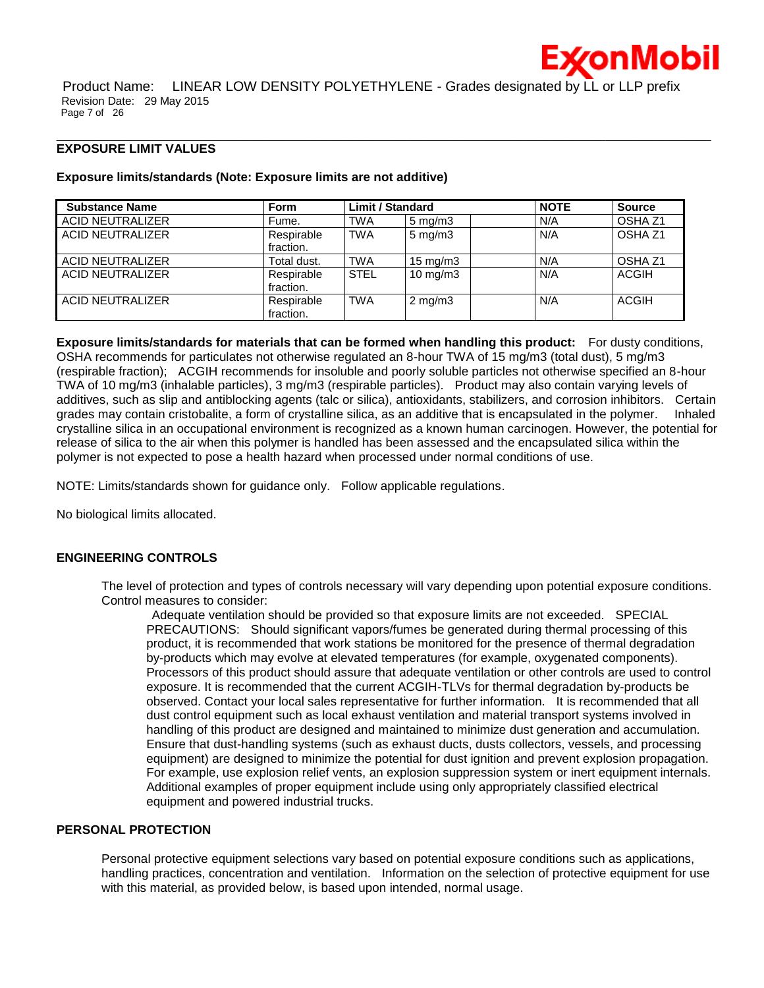

Product Name: LINEAR LOW DENSITY POLYETHYLENE - Grades designated by LL or LLP prefix Revision Date: 29 May 2015 Page 7 of 26

\_\_\_\_\_\_\_\_\_\_\_\_\_\_\_\_\_\_\_\_\_\_\_\_\_\_\_\_\_\_\_\_\_\_\_\_\_\_\_\_\_\_\_\_\_\_\_\_\_\_\_\_\_\_\_\_\_\_\_\_\_\_\_\_\_\_\_\_\_\_\_\_\_\_\_\_\_\_\_\_\_\_\_\_\_\_\_\_\_\_\_\_\_\_\_\_\_\_\_\_\_\_\_\_\_\_\_\_\_\_\_\_\_\_\_\_\_\_

### **EXPOSURE LIMIT VALUES**

### **Exposure limits/standards (Note: Exposure limits are not additive)**

| <b>Substance Name</b>   | <b>Form</b>             | <b>Limit / Standard</b> |                    | <b>NOTE</b> | <b>Source</b>      |
|-------------------------|-------------------------|-------------------------|--------------------|-------------|--------------------|
| <b>ACID NEUTRALIZER</b> | Fume.                   | <b>TWA</b>              | $5 \text{ mg/m}$ 3 | N/A         | OSHA <sub>Z1</sub> |
| ACID NEUTRALIZER        | Respirable<br>fraction. | <b>TWA</b>              | $5 \text{ mg/m}$ 3 | N/A         | OSHA <sub>Z1</sub> |
| <b>ACID NEUTRALIZER</b> | Total dust.             | <b>TWA</b>              | $15 \text{ mg/m}$  | N/A         | OSHA <sub>Z1</sub> |
| ACID NEUTRALIZER        | Respirable<br>fraction. | <b>STEL</b>             | $10 \text{ mg/m}$  | N/A         | <b>ACGIH</b>       |
| ACID NEUTRALIZER        | Respirable<br>fraction. | <b>TWA</b>              | $2 \text{ mg/m}$ 3 | N/A         | <b>ACGIH</b>       |

**Exposure limits/standards for materials that can be formed when handling this product:** For dusty conditions, OSHA recommends for particulates not otherwise regulated an 8-hour TWA of 15 mg/m3 (total dust), 5 mg/m3 (respirable fraction); ACGIH recommends for insoluble and poorly soluble particles not otherwise specified an 8-hour TWA of 10 mg/m3 (inhalable particles), 3 mg/m3 (respirable particles). Product may also contain varying levels of additives, such as slip and antiblocking agents (talc or silica), antioxidants, stabilizers, and corrosion inhibitors. Certain grades may contain cristobalite, a form of crystalline silica, as an additive that is encapsulated in the polymer. Inhaled crystalline silica in an occupational environment is recognized as a known human carcinogen. However, the potential for release of silica to the air when this polymer is handled has been assessed and the encapsulated silica within the polymer is not expected to pose a health hazard when processed under normal conditions of use.

NOTE: Limits/standards shown for guidance only. Follow applicable regulations.

No biological limits allocated.

# **ENGINEERING CONTROLS**

The level of protection and types of controls necessary will vary depending upon potential exposure conditions. Control measures to consider:

Adequate ventilation should be provided so that exposure limits are not exceeded. SPECIAL PRECAUTIONS: Should significant vapors/fumes be generated during thermal processing of this product, it is recommended that work stations be monitored for the presence of thermal degradation by-products which may evolve at elevated temperatures (for example, oxygenated components). Processors of this product should assure that adequate ventilation or other controls are used to control exposure. It is recommended that the current ACGIH-TLVs for thermal degradation by-products be observed. Contact your local sales representative for further information. It is recommended that all dust control equipment such as local exhaust ventilation and material transport systems involved in handling of this product are designed and maintained to minimize dust generation and accumulation. Ensure that dust-handling systems (such as exhaust ducts, dusts collectors, vessels, and processing equipment) are designed to minimize the potential for dust ignition and prevent explosion propagation. For example, use explosion relief vents, an explosion suppression system or inert equipment internals. Additional examples of proper equipment include using only appropriately classified electrical equipment and powered industrial trucks.

### **PERSONAL PROTECTION**

Personal protective equipment selections vary based on potential exposure conditions such as applications, handling practices, concentration and ventilation. Information on the selection of protective equipment for use with this material, as provided below, is based upon intended, normal usage.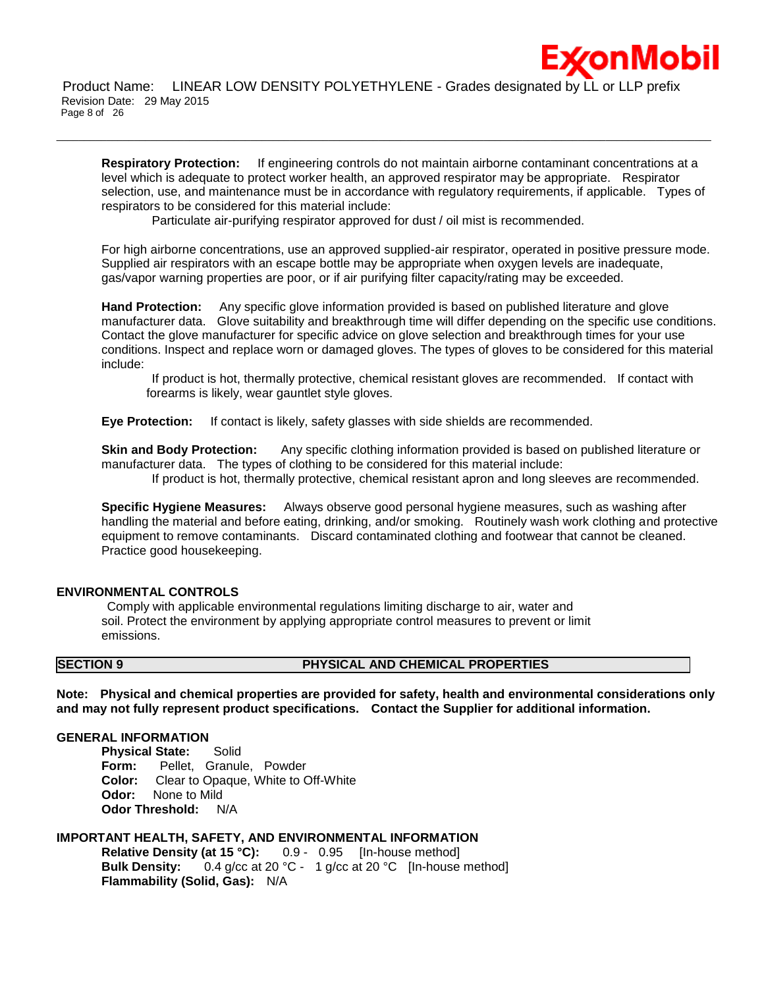:*x*onMobil

Product Name: LINEAR LOW DENSITY POLYETHYLENE - Grades designated by LL or LLP prefix Revision Date: 29 May 2015 Page 8 of 26

\_\_\_\_\_\_\_\_\_\_\_\_\_\_\_\_\_\_\_\_\_\_\_\_\_\_\_\_\_\_\_\_\_\_\_\_\_\_\_\_\_\_\_\_\_\_\_\_\_\_\_\_\_\_\_\_\_\_\_\_\_\_\_\_\_\_\_\_\_\_\_\_\_\_\_\_\_\_\_\_\_\_\_\_\_\_\_\_\_\_\_\_\_\_\_\_\_\_\_\_\_\_\_\_\_\_\_\_\_\_\_\_\_\_\_\_\_\_

**Respiratory Protection:** If engineering controls do not maintain airborne contaminant concentrations at a level which is adequate to protect worker health, an approved respirator may be appropriate. Respirator selection, use, and maintenance must be in accordance with regulatory requirements, if applicable. Types of respirators to be considered for this material include:

Particulate air-purifying respirator approved for dust / oil mist is recommended.

For high airborne concentrations, use an approved supplied-air respirator, operated in positive pressure mode. Supplied air respirators with an escape bottle may be appropriate when oxygen levels are inadequate, gas/vapor warning properties are poor, or if air purifying filter capacity/rating may be exceeded.

**Hand Protection:** Any specific glove information provided is based on published literature and glove manufacturer data. Glove suitability and breakthrough time will differ depending on the specific use conditions. Contact the glove manufacturer for specific advice on glove selection and breakthrough times for your use conditions. Inspect and replace worn or damaged gloves. The types of gloves to be considered for this material include:

If product is hot, thermally protective, chemical resistant gloves are recommended. If contact with forearms is likely, wear gauntlet style gloves.

**Eye Protection:** If contact is likely, safety glasses with side shields are recommended.

**Skin and Body Protection:** Any specific clothing information provided is based on published literature or manufacturer data. The types of clothing to be considered for this material include:

If product is hot, thermally protective, chemical resistant apron and long sleeves are recommended.

**Specific Hygiene Measures:** Always observe good personal hygiene measures, such as washing after handling the material and before eating, drinking, and/or smoking. Routinely wash work clothing and protective equipment to remove contaminants. Discard contaminated clothing and footwear that cannot be cleaned. Practice good housekeeping.

# **ENVIRONMENTAL CONTROLS**

Comply with applicable environmental regulations limiting discharge to air, water and soil. Protect the environment by applying appropriate control measures to prevent or limit emissions.

### **SECTION 9 PHYSICAL AND CHEMICAL PROPERTIES**

**Note: Physical and chemical properties are provided for safety, health and environmental considerations only and may not fully represent product specifications. Contact the Supplier for additional information.**

### **GENERAL INFORMATION**

**Physical State: Solid Form:** Pellet, Granule, Powder **Color:** Clear to Opaque, White to Off-White **Odor:** None to Mild **Odor Threshold:** N/A

# **IMPORTANT HEALTH, SAFETY, AND ENVIRONMENTAL INFORMATION**

**Relative Density (at 15 °C):** 0.9 - 0.95 [In-house method] **Bulk Density:** 0.4 g/cc at 20 °C - 1 g/cc at 20 °C [In-house method] **Flammability (Solid, Gas):** N/A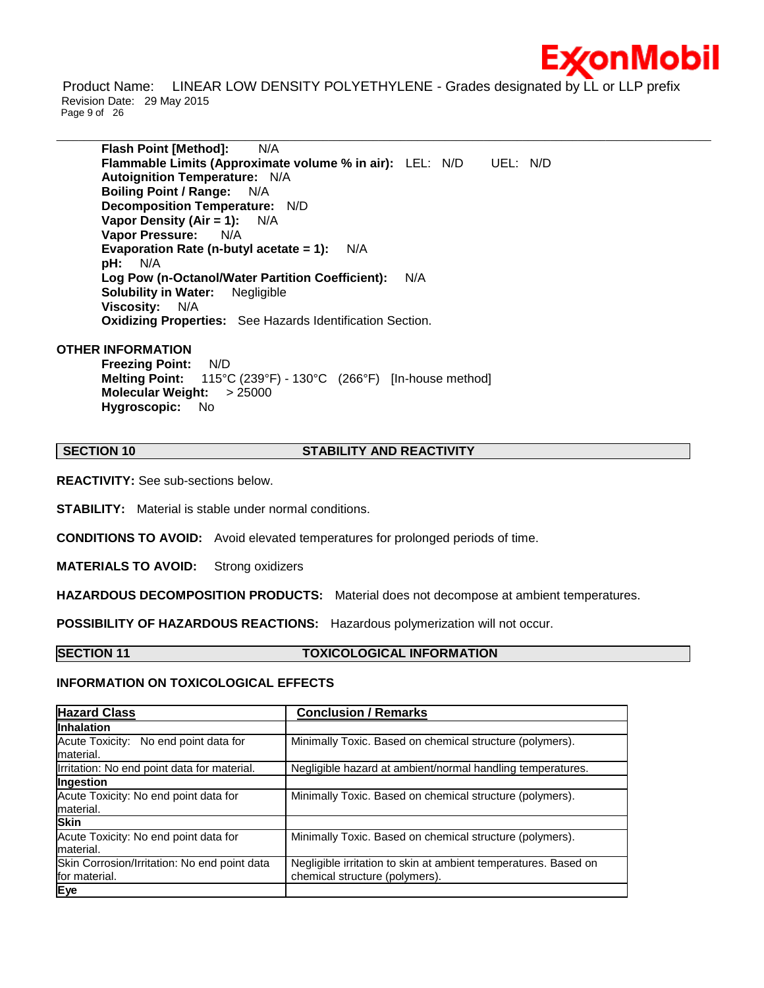

Product Name: LINEAR LOW DENSITY POLYETHYLENE - Grades designated by LL or LLP prefix Revision Date: 29 May 2015 Page 9 of 26

\_\_\_\_\_\_\_\_\_\_\_\_\_\_\_\_\_\_\_\_\_\_\_\_\_\_\_\_\_\_\_\_\_\_\_\_\_\_\_\_\_\_\_\_\_\_\_\_\_\_\_\_\_\_\_\_\_\_\_\_\_\_\_\_\_\_\_\_\_\_\_\_\_\_\_\_\_\_\_\_\_\_\_\_\_\_\_\_\_\_\_\_\_\_\_\_\_\_\_\_\_\_\_\_\_\_\_\_\_\_\_\_\_\_\_\_\_\_

**Flash Point [Method]:** N/A **Flammable Limits (Approximate volume % in air):** LEL: N/D UEL: N/D **Autoignition Temperature:** N/A **Boiling Point / Range:** N/A **Decomposition Temperature:** N/D **Vapor Density (Air = 1):** N/A **Vapor Pressure:** N/A **Evaporation Rate (n-butyl acetate = 1):** N/A **pH:** N/A **Log Pow (n-Octanol/Water Partition Coefficient):** N/A **Solubility in Water:** Negligible **Viscosity:** N/A **Oxidizing Properties:** See Hazards Identification Section.

### **OTHER INFORMATION**

**Freezing Point:** N/D **Melting Point:** 115°C (239°F) - 130°C (266°F) [In-house method] **Molecular Weight:** > 25000 **Hygroscopic:** No

### **SECTION 10 STABILITY AND REACTIVITY**

**REACTIVITY:** See sub-sections below.

**STABILITY:** Material is stable under normal conditions.

**CONDITIONS TO AVOID:** Avoid elevated temperatures for prolonged periods of time.

**MATERIALS TO AVOID:** Strong oxidizers

**HAZARDOUS DECOMPOSITION PRODUCTS:** Material does not decompose at ambient temperatures.

**POSSIBILITY OF HAZARDOUS REACTIONS:** Hazardous polymerization will not occur.

# **SECTION 11 TOXICOLOGICAL INFORMATION**

# **INFORMATION ON TOXICOLOGICAL EFFECTS**

| <b>Hazard Class</b>                                | <b>Conclusion / Remarks</b>                                     |
|----------------------------------------------------|-----------------------------------------------------------------|
| <b>Inhalation</b>                                  |                                                                 |
| Acute Toxicity: No end point data for<br>material. | Minimally Toxic. Based on chemical structure (polymers).        |
| Irritation: No end point data for material.        | Negligible hazard at ambient/normal handling temperatures.      |
| Ingestion                                          |                                                                 |
| Acute Toxicity: No end point data for              | Minimally Toxic. Based on chemical structure (polymers).        |
| material.                                          |                                                                 |
| <b>Skin</b>                                        |                                                                 |
| Acute Toxicity: No end point data for              | Minimally Toxic. Based on chemical structure (polymers).        |
| material.                                          |                                                                 |
| Skin Corrosion/Irritation: No end point data       | Negligible irritation to skin at ambient temperatures. Based on |
| for material.                                      | chemical structure (polymers).                                  |
| Eye                                                |                                                                 |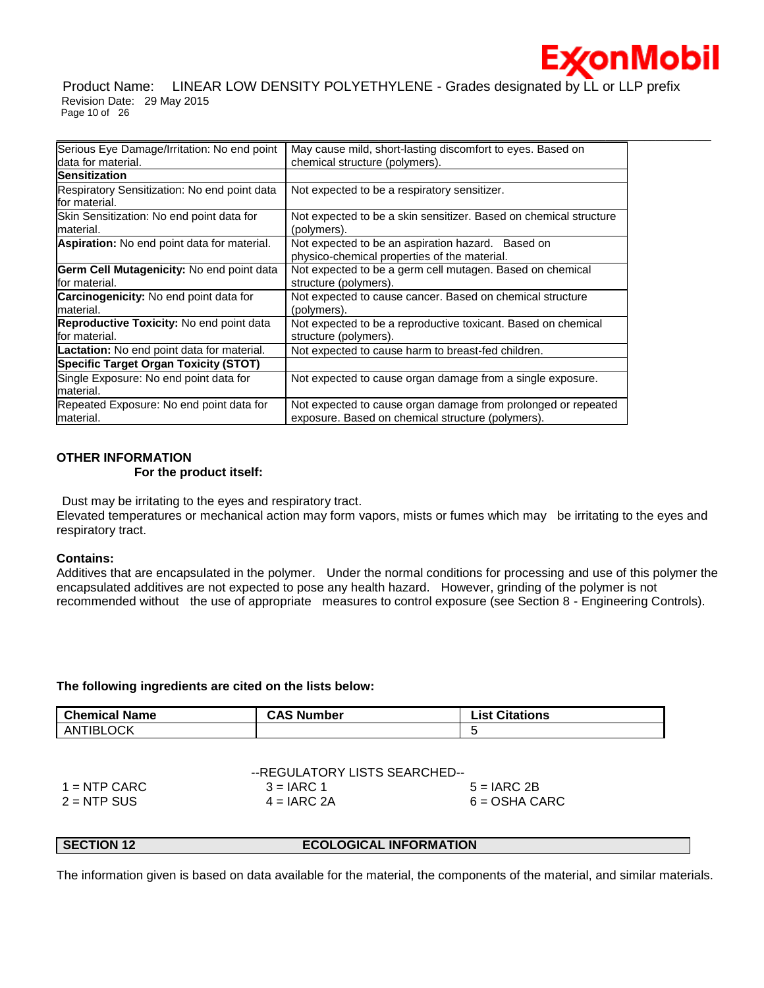

Product Name: LINEAR LOW DENSITY POLYETHYLENE - Grades designated by LL or LLP prefix Revision Date: 29 May 2015 Page 10 of 26

| Serious Eye Damage/Irritation: No end point                       | May cause mild, short-lasting discomfort to eyes. Based on                                                         |
|-------------------------------------------------------------------|--------------------------------------------------------------------------------------------------------------------|
| data for material.                                                | chemical structure (polymers).                                                                                     |
| <b>Sensitization</b>                                              |                                                                                                                    |
| Respiratory Sensitization: No end point data<br>for material.     | Not expected to be a respiratory sensitizer.                                                                       |
| Skin Sensitization: No end point data for<br>material.            | Not expected to be a skin sensitizer. Based on chemical structure<br>(polymers).                                   |
| <b>Aspiration:</b> No end point data for material.                | Not expected to be an aspiration hazard. Based on<br>physico-chemical properties of the material.                  |
| <b>Germ Cell Mutagenicity: No end point data</b><br>for material. | Not expected to be a germ cell mutagen. Based on chemical<br>structure (polymers).                                 |
| <b>Carcinogenicity:</b> No end point data for<br>material.        | Not expected to cause cancer. Based on chemical structure<br>(polymers).                                           |
| Reproductive Toxicity: No end point data<br>for material.         | Not expected to be a reproductive toxicant. Based on chemical<br>structure (polymers).                             |
| Lactation: No end point data for material.                        | Not expected to cause harm to breast-fed children.                                                                 |
| <b>Specific Target Organ Toxicity (STOT)</b>                      |                                                                                                                    |
| Single Exposure: No end point data for<br>material.               | Not expected to cause organ damage from a single exposure.                                                         |
| Repeated Exposure: No end point data for<br>material.             | Not expected to cause organ damage from prolonged or repeated<br>exposure. Based on chemical structure (polymers). |

# **OTHER INFORMATION**

# **For the product itself:**

Dust may be irritating to the eyes and respiratory tract.

Elevated temperatures or mechanical action may form vapors, mists or fumes which may be irritating to the eyes and respiratory tract.

# **Contains:**

Additives that are encapsulated in the polymer. Under the normal conditions for processing and use of this polymer the encapsulated additives are not expected to pose any health hazard. However, grinding of the polymer is not recommended without the use of appropriate measures to control exposure (see Section 8 - Engineering Controls).

# **The following ingredients are cited on the lists below:**

| <b>Chemical Name</b> | <b>CAS Number</b> | List Citations |
|----------------------|-------------------|----------------|
| ANTIBLOCK            |                   |                |

|                | --REGULATORY LISTS SEARCHED-- |                 |
|----------------|-------------------------------|-----------------|
| $1 =$ NTP CARC | $3 = IARC 1$                  | $5 = IARC2B$    |
| $2 = NTP$ SUS  | $4 = IARC 2A$                 | $6 = OSHA CARC$ |

# **SECTION 12 ECOLOGICAL INFORMATION**

The information given is based on data available for the material, the components of the material, and similar materials.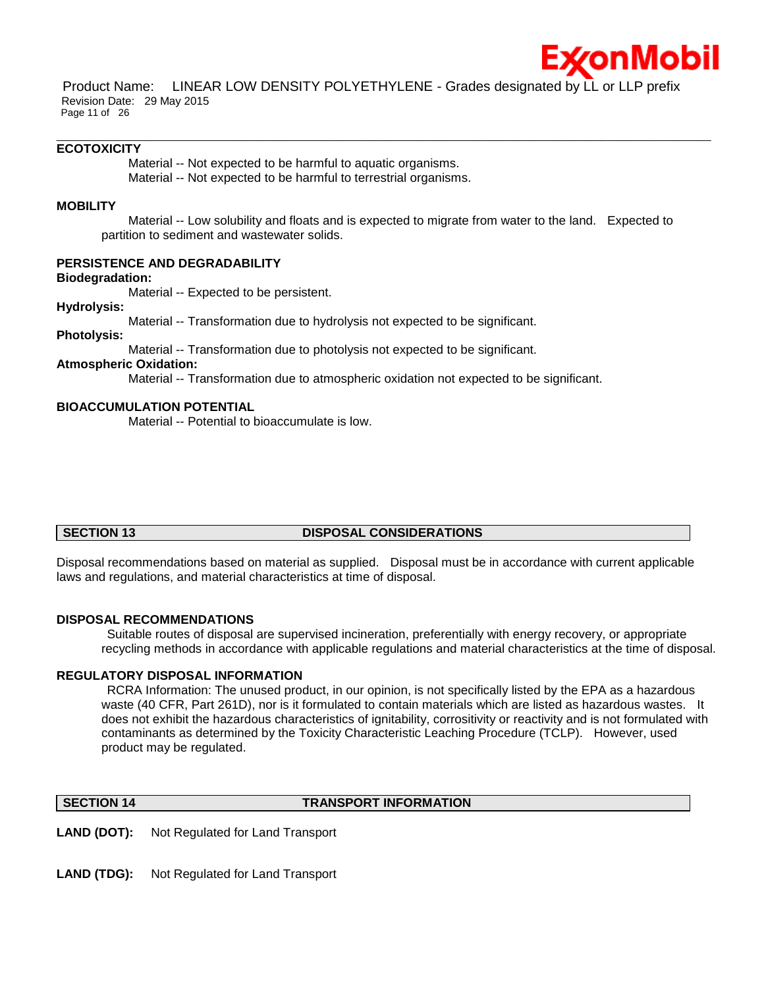

Product Name: LINEAR LOW DENSITY POLYETHYLENE - Grades designated by LL or LLP prefix Revision Date: 29 May 2015 Page 11 of 26

\_\_\_\_\_\_\_\_\_\_\_\_\_\_\_\_\_\_\_\_\_\_\_\_\_\_\_\_\_\_\_\_\_\_\_\_\_\_\_\_\_\_\_\_\_\_\_\_\_\_\_\_\_\_\_\_\_\_\_\_\_\_\_\_\_\_\_\_\_\_\_\_\_\_\_\_\_\_\_\_\_\_\_\_\_\_\_\_\_\_\_\_\_\_\_\_\_\_\_\_\_\_\_\_\_\_\_\_\_\_\_\_\_\_\_\_\_\_

### **ECOTOXICITY**

Material -- Not expected to be harmful to aquatic organisms.

Material -- Not expected to be harmful to terrestrial organisms.

### **MOBILITY**

 Material -- Low solubility and floats and is expected to migrate from water to the land. Expected to partition to sediment and wastewater solids.

### **PERSISTENCE AND DEGRADABILITY**

**Biodegradation:**

Material -- Expected to be persistent.

### **Hydrolysis:**

Material -- Transformation due to hydrolysis not expected to be significant.

# **Photolysis:**

Material -- Transformation due to photolysis not expected to be significant.

### **Atmospheric Oxidation:**

Material -- Transformation due to atmospheric oxidation not expected to be significant.

# **BIOACCUMULATION POTENTIAL**

Material -- Potential to bioaccumulate is low.

# **SECTION 13 DISPOSAL CONSIDERATIONS**

Disposal recommendations based on material as supplied. Disposal must be in accordance with current applicable laws and regulations, and material characteristics at time of disposal.

### **DISPOSAL RECOMMENDATIONS**

Suitable routes of disposal are supervised incineration, preferentially with energy recovery, or appropriate recycling methods in accordance with applicable regulations and material characteristics at the time of disposal.

### **REGULATORY DISPOSAL INFORMATION**

RCRA Information: The unused product, in our opinion, is not specifically listed by the EPA as a hazardous waste (40 CFR, Part 261D), nor is it formulated to contain materials which are listed as hazardous wastes. It does not exhibit the hazardous characteristics of ignitability, corrositivity or reactivity and is not formulated with contaminants as determined by the Toxicity Characteristic Leaching Procedure (TCLP). However, used product may be regulated.

### **SECTION 14 TRANSPORT INFORMATION**

**LAND (DOT):** Not Regulated for Land Transport

**LAND (TDG):** Not Regulated for Land Transport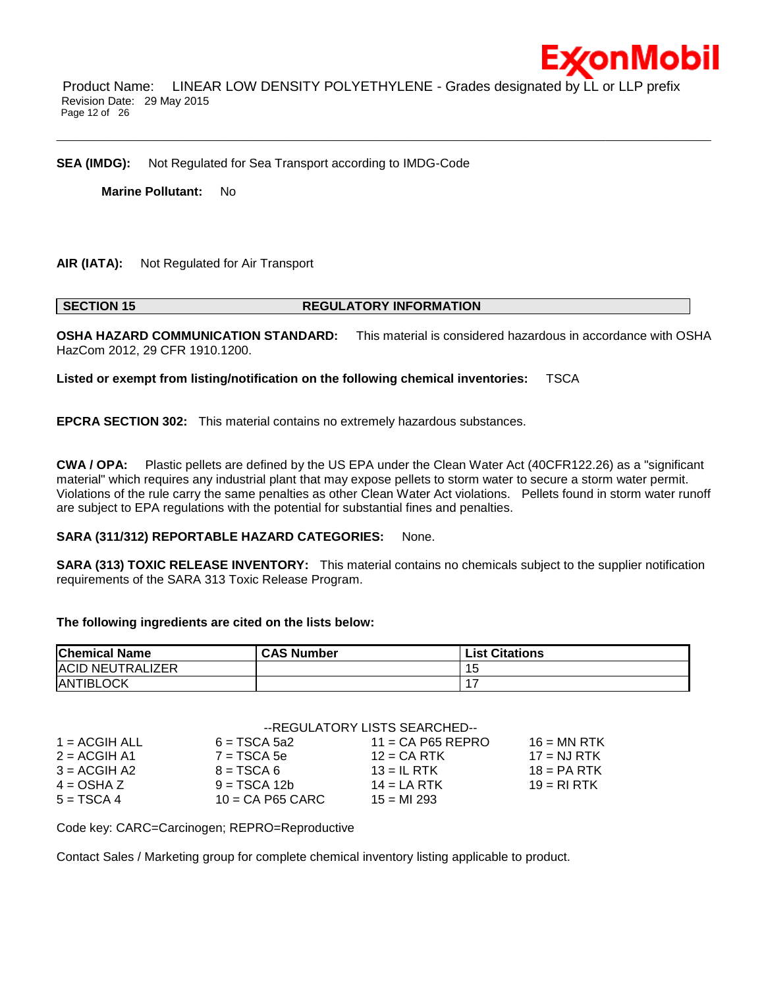

Product Name: LINEAR LOW DENSITY POLYETHYLENE - Grades designated by LL or LLP prefix Revision Date: 29 May 2015 Page 12 of 26

\_\_\_\_\_\_\_\_\_\_\_\_\_\_\_\_\_\_\_\_\_\_\_\_\_\_\_\_\_\_\_\_\_\_\_\_\_\_\_\_\_\_\_\_\_\_\_\_\_\_\_\_\_\_\_\_\_\_\_\_\_\_\_\_\_\_\_\_\_\_\_\_\_\_\_\_\_\_\_\_\_\_\_\_\_\_\_\_\_\_\_\_\_\_\_\_\_\_\_\_\_\_\_\_\_\_\_\_\_\_\_\_\_\_\_\_\_\_

**SEA (IMDG):** Not Regulated for Sea Transport according to IMDG-Code

**Marine Pollutant:** No

### **AIR (IATA):** Not Regulated for Air Transport

### **SECTION 15 REGULATORY INFORMATION**

**OSHA HAZARD COMMUNICATION STANDARD:** This material is considered hazardous in accordance with OSHA HazCom 2012, 29 CFR 1910.1200.

**Listed or exempt from listing/notification on the following chemical inventories:** TSCA

**EPCRA SECTION 302:** This material contains no extremely hazardous substances.

**CWA / OPA:** Plastic pellets are defined by the US EPA under the Clean Water Act (40CFR122.26) as a "significant material" which requires any industrial plant that may expose pellets to storm water to secure a storm water permit. Violations of the rule carry the same penalties as other Clean Water Act violations. Pellets found in storm water runoff are subject to EPA regulations with the potential for substantial fines and penalties.

### **SARA (311/312) REPORTABLE HAZARD CATEGORIES:** None.

**SARA (313) TOXIC RELEASE INVENTORY:** This material contains no chemicals subject to the supplier notification requirements of the SARA 313 Toxic Release Program.

### **The following ingredients are cited on the lists below:**

| <b>Chemical Name</b>    | <b>CAS Number</b> | <b>List Citations</b> |
|-------------------------|-------------------|-----------------------|
| <b>ACID NEUTRALIZER</b> |                   | ں ا                   |
| <b>ANTIBLOCK</b>        |                   |                       |

### --REGULATORY LISTS SEARCHED--

| $1 = ACGIH ALL$ | $6 = TSCA 5a2$     | $11 = CA$ P65 REPRO | $16 = MN$ RTK |
|-----------------|--------------------|---------------------|---------------|
| $2 = ACGIH A1$  | $7 = TSCA$ 5e      | $12$ = CA RTK       | $17 = NJ RTK$ |
| $3 = ACGIH A2$  | $B = TSCA6$        | $13 = IL$ RTK       | $18 = PA RTK$ |
| $4 = OSHA Z$    | $9 = TSCA 12b$     | $14 = LA RTK$       | $19 = R1 RTK$ |
| $5 = TSCA4$     | $10 = CA$ P65 CARC | $15 = M1 293$       |               |

Code key: CARC=Carcinogen; REPRO=Reproductive

Contact Sales / Marketing group for complete chemical inventory listing applicable to product.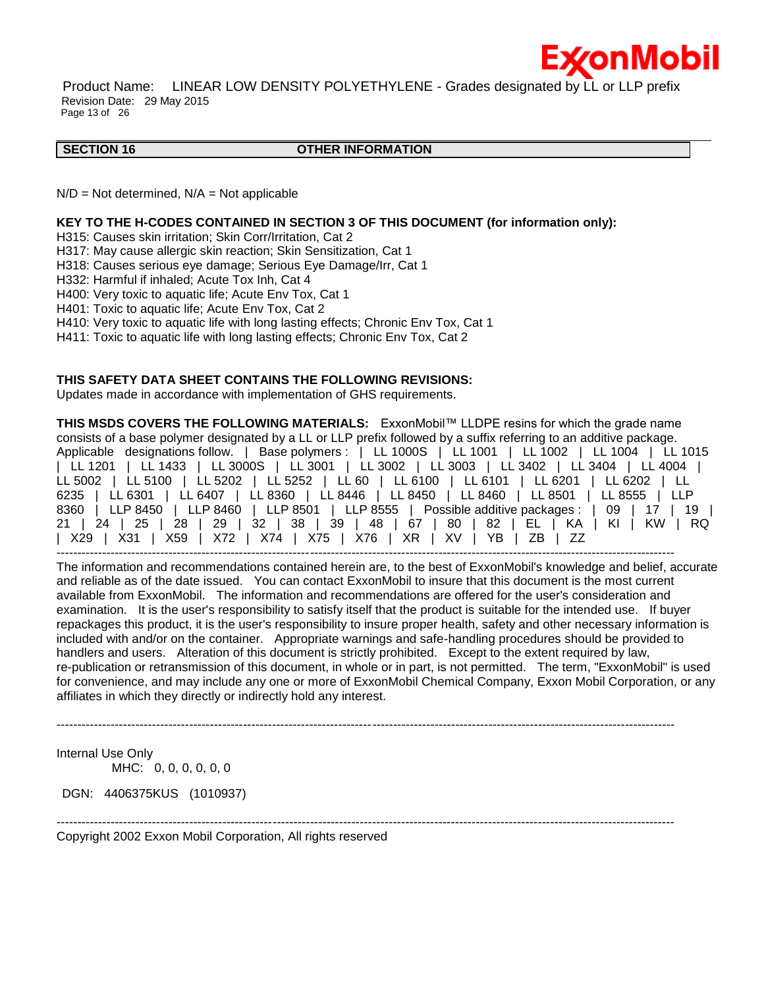

Product Name: LINEAR LOW DENSITY POLYETHYLENE - Grades designated by LL or LLP prefix Revision Date: 29 May 2015 Page 13 of 26

### **SECTION 16 OTHER INFORMATION**

\_\_\_\_\_\_\_\_\_\_\_\_\_\_\_\_\_\_\_\_\_\_\_\_\_\_\_\_\_\_\_\_\_\_\_\_\_\_\_\_\_\_\_\_\_\_\_\_\_\_\_\_\_\_\_\_\_\_\_\_\_\_\_\_\_\_\_\_\_\_\_\_\_\_\_\_\_\_\_\_\_\_\_\_\_\_\_\_\_\_\_\_\_\_\_\_\_\_\_\_\_\_\_\_\_\_\_\_\_\_\_\_\_\_\_\_\_\_

 $N/D = Not determined$ ,  $N/A = Not$  applicable

### **KEY TO THE H-CODES CONTAINED IN SECTION 3 OF THIS DOCUMENT (for information only):**

H315: Causes skin irritation; Skin Corr/Irritation, Cat 2

H317: May cause allergic skin reaction; Skin Sensitization, Cat 1

H318: Causes serious eye damage; Serious Eye Damage/Irr, Cat 1

H332: Harmful if inhaled; Acute Tox Inh, Cat 4

H400: Very toxic to aquatic life; Acute Env Tox, Cat 1

H401: Toxic to aquatic life; Acute Env Tox, Cat 2

H410: Very toxic to aquatic life with long lasting effects; Chronic Env Tox, Cat 1

H411: Toxic to aquatic life with long lasting effects; Chronic Env Tox, Cat 2

# **THIS SAFETY DATA SHEET CONTAINS THE FOLLOWING REVISIONS:**

Updates made in accordance with implementation of GHS requirements.

**THIS MSDS COVERS THE FOLLOWING MATERIALS:** ExxonMobil™ LLDPE resins for which the grade name consists of a base polymer designated by a LL or LLP prefix followed by a suffix referring to an additive package. Applicable designations follow. | Base polymers : | LL 1000S | LL 1001 | LL 1002 | LL 1004 | LL 1015 | LL 1201 | LL 1433 | LL 3000S | LL 3001 | LL 3002 | LL 3003 | LL 3402 | LL 3404 | LL 4004 | LL 5002 | LL 5100 | LL 5202 | LL 5252 | LL 60 | LL 6100 | LL 6101 | LL 6201 | LL 6202 | LL 6235 | LL 6301 | LL 6407 | LL 8360 | LL 8446 | LL 8450 | LL 8460 | LL 8501 | LL 8555 | LLP 8360 | LLP 8450 | LLP 8460 | LLP 8501 | LLP 8555 | Possible additive packages : | 09 | 17 | 19 | 21 | 24 | 25 | 28 | 29 | 32 | 38 | 39 | 48 | 67 | 80 | 82 | EL | KA | KI | KW | RQ | X29 | X31 | X59 | X72 | X74 | X75 | X76 | XR | XV | YB | ZB | ZZ

----------------------------------------------------------------------------------------------------------------------------------------------------- The information and recommendations contained herein are, to the best of ExxonMobil's knowledge and belief, accurate and reliable as of the date issued. You can contact ExxonMobil to insure that this document is the most current available from ExxonMobil. The information and recommendations are offered for the user's consideration and examination. It is the user's responsibility to satisfy itself that the product is suitable for the intended use. If buyer repackages this product, it is the user's responsibility to insure proper health, safety and other necessary information is included with and/or on the container. Appropriate warnings and safe-handling procedures should be provided to handlers and users. Alteration of this document is strictly prohibited. Except to the extent required by law, re-publication or retransmission of this document, in whole or in part, is not permitted. The term, "ExxonMobil" is used for convenience, and may include any one or more of ExxonMobil Chemical Company, Exxon Mobil Corporation, or any affiliates in which they directly or indirectly hold any interest.

-----------------------------------------------------------------------------------------------------------------------------------------------------

Internal Use Only MHC: 0, 0, 0, 0, 0, 0

DGN: 4406375KUS (1010937)

----------------------------------------------------------------------------------------------------------------------------------------------------- Copyright 2002 Exxon Mobil Corporation, All rights reserved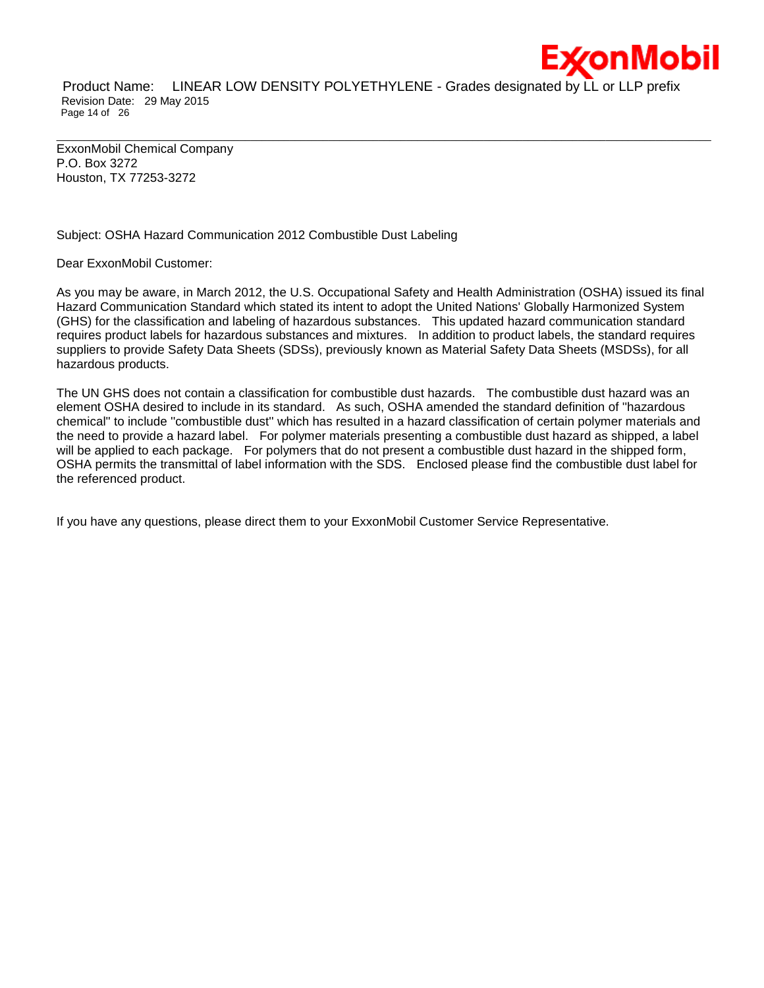

Product Name: LINEAR LOW DENSITY POLYETHYLENE - Grades designated by LL or LLP prefix Revision Date: 29 May 2015 Page 14 of 26

\_\_\_\_\_\_\_\_\_\_\_\_\_\_\_\_\_\_\_\_\_\_\_\_\_\_\_\_\_\_\_\_\_\_\_\_\_\_\_\_\_\_\_\_\_\_\_\_\_\_\_\_\_\_\_\_\_\_\_\_\_\_\_\_\_\_\_\_\_\_\_\_\_\_\_\_\_\_\_\_\_\_\_\_\_\_\_\_\_\_\_\_\_\_\_\_\_\_\_\_\_\_\_\_\_\_\_\_\_\_\_\_\_\_\_\_\_\_

ExxonMobil Chemical Company P.O. Box 3272 Houston, TX 77253-3272

# Subject: OSHA Hazard Communication 2012 Combustible Dust Labeling

Dear ExxonMobil Customer:

As you may be aware, in March 2012, the U.S. Occupational Safety and Health Administration (OSHA) issued its final Hazard Communication Standard which stated its intent to adopt the United Nations' Globally Harmonized System (GHS) for the classification and labeling of hazardous substances. This updated hazard communication standard requires product labels for hazardous substances and mixtures. In addition to product labels, the standard requires suppliers to provide Safety Data Sheets (SDSs), previously known as Material Safety Data Sheets (MSDSs), for all hazardous products.

The UN GHS does not contain a classification for combustible dust hazards. The combustible dust hazard was an element OSHA desired to include in its standard. As such, OSHA amended the standard definition of ''hazardous chemical'' to include ''combustible dust'' which has resulted in a hazard classification of certain polymer materials and the need to provide a hazard label. For polymer materials presenting a combustible dust hazard as shipped, a label will be applied to each package. For polymers that do not present a combustible dust hazard in the shipped form, OSHA permits the transmittal of label information with the SDS. Enclosed please find the combustible dust label for the referenced product.

If you have any questions, please direct them to your ExxonMobil Customer Service Representative.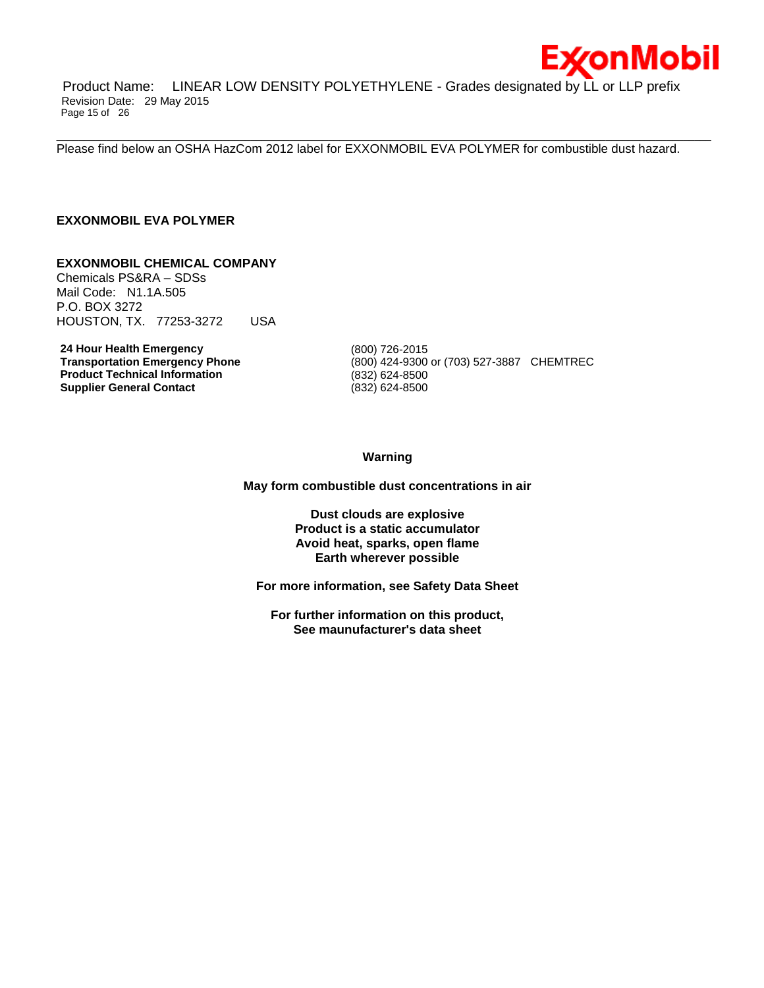

Product Name: LINEAR LOW DENSITY POLYETHYLENE - Grades designated by LL or LLP prefix Revision Date: 29 May 2015 Page 15 of 26

Please find below an OSHA HazCom 2012 label for EXXONMOBIL EVA POLYMER for combustible dust hazard.

\_\_\_\_\_\_\_\_\_\_\_\_\_\_\_\_\_\_\_\_\_\_\_\_\_\_\_\_\_\_\_\_\_\_\_\_\_\_\_\_\_\_\_\_\_\_\_\_\_\_\_\_\_\_\_\_\_\_\_\_\_\_\_\_\_\_\_\_\_\_\_\_\_\_\_\_\_\_\_\_\_\_\_\_\_\_\_\_\_\_\_\_\_\_\_\_\_\_\_\_\_\_\_\_\_\_\_\_\_\_\_\_\_\_\_\_\_\_

# **EXXONMOBIL EVA POLYMER**

### **EXXONMOBIL CHEMICAL COMPANY**

Chemicals PS&RA – SDSs Mail Code: N1.1A.505 P.O. BOX 3272 HOUSTON, TX. 77253-3272 USA

**24 Hour Health Emergency 19th Change 12 (800) 726-2015<br>
<b>Transportation Emergency Phone** (800) 424-9300 **Product Technical Information** (832) 624-8500 **Supplier General Contact** (832) 624-8500

**Transportation Emergency Phone** (800) 424-9300 or (703) 527-3887 CHEMTREC

**Warning**

**May form combustible dust concentrations in air**

**Dust clouds are explosive Product is a static accumulator Avoid heat, sparks, open flame Earth wherever possible**

**For more information, see Safety Data Sheet**

**For further information on this product, See maunufacturer's data sheet**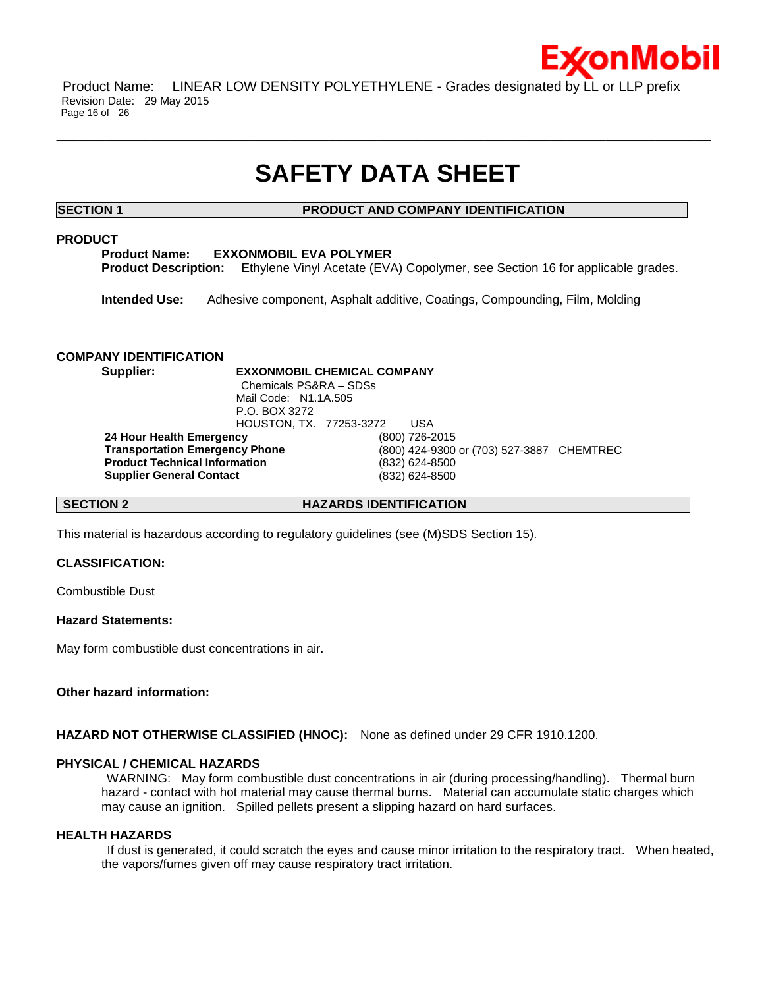

Product Name: LINEAR LOW DENSITY POLYETHYLENE - Grades designated by LL or LLP prefix Revision Date: 29 May 2015 Page 16 of 26

# **SAFETY DATA SHEET**

\_\_\_\_\_\_\_\_\_\_\_\_\_\_\_\_\_\_\_\_\_\_\_\_\_\_\_\_\_\_\_\_\_\_\_\_\_\_\_\_\_\_\_\_\_\_\_\_\_\_\_\_\_\_\_\_\_\_\_\_\_\_\_\_\_\_\_\_\_\_\_\_\_\_\_\_\_\_\_\_\_\_\_\_\_\_\_\_\_\_\_\_\_\_\_\_\_\_\_\_\_\_\_\_\_\_\_\_\_\_\_\_\_\_\_\_\_\_

# **SECTION 1 PRODUCT AND COMPANY IDENTIFICATION**

# **PRODUCT**

**Product Name: EXXONMOBIL EVA POLYMER Product Description:** Ethylene Vinyl Acetate (EVA) Copolymer, see Section 16 for applicable grades.

**Intended Use:** Adhesive component, Asphalt additive, Coatings, Compounding, Film, Molding

# **COMPANY IDENTIFICATION**

**Supplier: EXXONMOBIL CHEMICAL COMPANY** Chemicals PS&RA – SDSs Mail Code: N1.1A.505 P.O. BOX 3272 HOUSTON, TX. 77253-3272 USA **24 Hour Health Emergency** (800) 726-2015 **Transportation Emergency Phone** (800) 424-9300 or (703) 527-3887 CHEMTREC **Product Technical Information** (832) 624-8500 **Supplier General Contact** (832) 624-8500

**SECTION 2 HAZARDS IDENTIFICATION**

This material is hazardous according to regulatory guidelines (see (M)SDS Section 15).

# **CLASSIFICATION:**

Combustible Dust

# **Hazard Statements:**

May form combustible dust concentrations in air.

# **Other hazard information:**

**HAZARD NOT OTHERWISE CLASSIFIED (HNOC):** None as defined under 29 CFR 1910.1200.

# **PHYSICAL / CHEMICAL HAZARDS**

WARNING: May form combustible dust concentrations in air (during processing/handling). Thermal burn hazard - contact with hot material may cause thermal burns. Material can accumulate static charges which may cause an ignition. Spilled pellets present a slipping hazard on hard surfaces.

### **HEALTH HAZARDS**

If dust is generated, it could scratch the eyes and cause minor irritation to the respiratory tract. When heated, the vapors/fumes given off may cause respiratory tract irritation.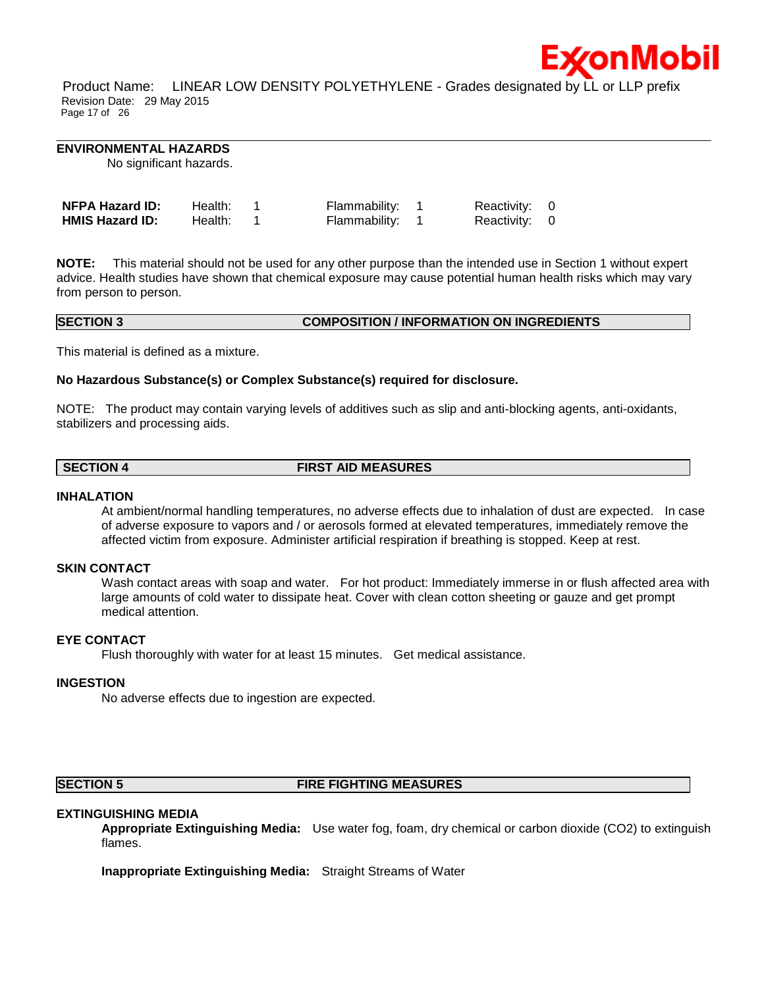

Product Name: LINEAR LOW DENSITY POLYETHYLENE - Grades designated by LL or LLP prefix Revision Date: 29 May 2015 Page 17 of 26

\_\_\_\_\_\_\_\_\_\_\_\_\_\_\_\_\_\_\_\_\_\_\_\_\_\_\_\_\_\_\_\_\_\_\_\_\_\_\_\_\_\_\_\_\_\_\_\_\_\_\_\_\_\_\_\_\_\_\_\_\_\_\_\_\_\_\_\_\_\_\_\_\_\_\_\_\_\_\_\_\_\_\_\_\_\_\_\_\_\_\_\_\_\_\_\_\_\_\_\_\_\_\_\_\_\_\_\_\_\_\_\_\_\_\_\_\_\_

### **ENVIRONMENTAL HAZARDS**

No significant hazards.

| <b>NFPA Hazard ID:</b> | Health: | Flammability: 1 | Reactivity: 0 |  |
|------------------------|---------|-----------------|---------------|--|
| <b>HMIS Hazard ID:</b> | Health: | Flammability: 1 | Reactivity: 0 |  |

**NOTE:** This material should not be used for any other purpose than the intended use in Section 1 without expert advice. Health studies have shown that chemical exposure may cause potential human health risks which may vary from person to person.

# **SECTION 3 COMPOSITION / INFORMATION ON INGREDIENTS**

This material is defined as a mixture.

### **No Hazardous Substance(s) or Complex Substance(s) required for disclosure.**

NOTE: The product may contain varying levels of additives such as slip and anti-blocking agents, anti-oxidants, stabilizers and processing aids.

# **SECTION 4 FIRST AID MEASURES**

### **INHALATION**

At ambient/normal handling temperatures, no adverse effects due to inhalation of dust are expected. In case of adverse exposure to vapors and / or aerosols formed at elevated temperatures, immediately remove the affected victim from exposure. Administer artificial respiration if breathing is stopped. Keep at rest.

### **SKIN CONTACT**

Wash contact areas with soap and water. For hot product: Immediately immerse in or flush affected area with large amounts of cold water to dissipate heat. Cover with clean cotton sheeting or gauze and get prompt medical attention.

# **EYE CONTACT**

Flush thoroughly with water for at least 15 minutes. Get medical assistance.

### **INGESTION**

No adverse effects due to ingestion are expected.

# **SECTION 5 FIRE FIGHTING MEASURES**

### **EXTINGUISHING MEDIA**

**Appropriate Extinguishing Media:** Use water fog, foam, dry chemical or carbon dioxide (CO2) to extinguish flames.

**Inappropriate Extinguishing Media:** Straight Streams of Water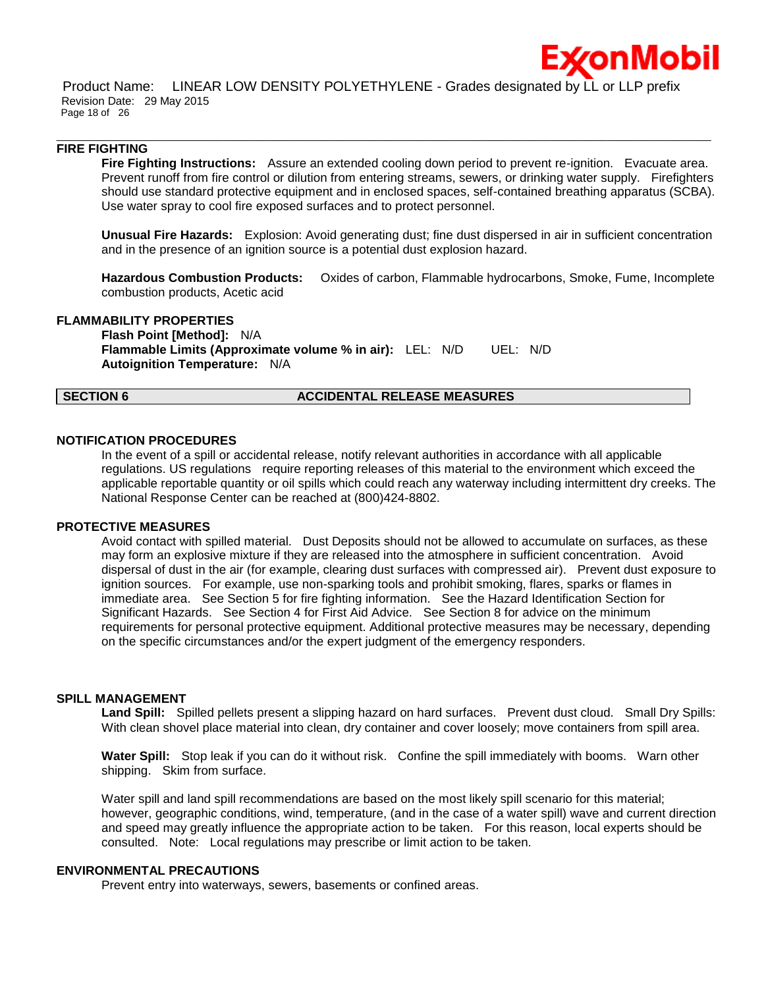

Product Name: LINEAR LOW DENSITY POLYETHYLENE - Grades designated by LL or LLP prefix Revision Date: 29 May 2015 Page 18 of 26

\_\_\_\_\_\_\_\_\_\_\_\_\_\_\_\_\_\_\_\_\_\_\_\_\_\_\_\_\_\_\_\_\_\_\_\_\_\_\_\_\_\_\_\_\_\_\_\_\_\_\_\_\_\_\_\_\_\_\_\_\_\_\_\_\_\_\_\_\_\_\_\_\_\_\_\_\_\_\_\_\_\_\_\_\_\_\_\_\_\_\_\_\_\_\_\_\_\_\_\_\_\_\_\_\_\_\_\_\_\_\_\_\_\_\_\_\_\_

### **FIRE FIGHTING**

**Fire Fighting Instructions:** Assure an extended cooling down period to prevent re-ignition. Evacuate area. Prevent runoff from fire control or dilution from entering streams, sewers, or drinking water supply. Firefighters should use standard protective equipment and in enclosed spaces, self-contained breathing apparatus (SCBA). Use water spray to cool fire exposed surfaces and to protect personnel.

**Unusual Fire Hazards:** Explosion: Avoid generating dust; fine dust dispersed in air in sufficient concentration and in the presence of an ignition source is a potential dust explosion hazard.

**Hazardous Combustion Products:** Oxides of carbon, Flammable hydrocarbons, Smoke, Fume, Incomplete combustion products, Acetic acid

### **FLAMMABILITY PROPERTIES**

**Flash Point [Method]:** N/A **Flammable Limits (Approximate volume % in air):** LEL: N/D UEL: N/D **Autoignition Temperature:** N/A

### **SECTION 6 ACCIDENTAL RELEASE MEASURES**

### **NOTIFICATION PROCEDURES**

In the event of a spill or accidental release, notify relevant authorities in accordance with all applicable regulations. US regulations require reporting releases of this material to the environment which exceed the applicable reportable quantity or oil spills which could reach any waterway including intermittent dry creeks. The National Response Center can be reached at (800)424-8802.

### **PROTECTIVE MEASURES**

Avoid contact with spilled material. Dust Deposits should not be allowed to accumulate on surfaces, as these may form an explosive mixture if they are released into the atmosphere in sufficient concentration. Avoid dispersal of dust in the air (for example, clearing dust surfaces with compressed air). Prevent dust exposure to ignition sources. For example, use non-sparking tools and prohibit smoking, flares, sparks or flames in immediate area. See Section 5 for fire fighting information. See the Hazard Identification Section for Significant Hazards. See Section 4 for First Aid Advice. See Section 8 for advice on the minimum requirements for personal protective equipment. Additional protective measures may be necessary, depending on the specific circumstances and/or the expert judgment of the emergency responders.

### **SPILL MANAGEMENT**

**Land Spill:** Spilled pellets present a slipping hazard on hard surfaces. Prevent dust cloud. Small Dry Spills: With clean shovel place material into clean, dry container and cover loosely; move containers from spill area.

**Water Spill:** Stop leak if you can do it without risk. Confine the spill immediately with booms. Warn other shipping. Skim from surface.

Water spill and land spill recommendations are based on the most likely spill scenario for this material; however, geographic conditions, wind, temperature, (and in the case of a water spill) wave and current direction and speed may greatly influence the appropriate action to be taken. For this reason, local experts should be consulted. Note: Local regulations may prescribe or limit action to be taken.

# **ENVIRONMENTAL PRECAUTIONS**

Prevent entry into waterways, sewers, basements or confined areas.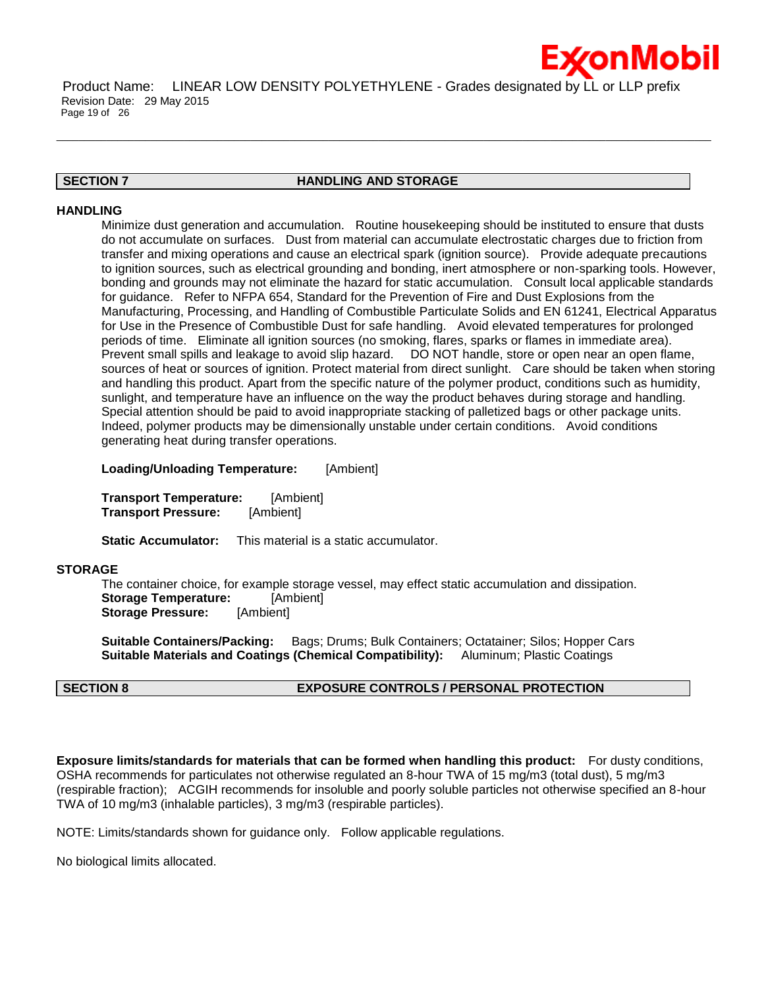

Product Name: LINEAR LOW DENSITY POLYETHYLENE - Grades designated by LL or LLP prefix Revision Date: 29 May 2015 Page 19 of 26

# **SECTION 7 HANDLING AND STORAGE**

\_\_\_\_\_\_\_\_\_\_\_\_\_\_\_\_\_\_\_\_\_\_\_\_\_\_\_\_\_\_\_\_\_\_\_\_\_\_\_\_\_\_\_\_\_\_\_\_\_\_\_\_\_\_\_\_\_\_\_\_\_\_\_\_\_\_\_\_\_\_\_\_\_\_\_\_\_\_\_\_\_\_\_\_\_\_\_\_\_\_\_\_\_\_\_\_\_\_\_\_\_\_\_\_\_\_\_\_\_\_\_\_\_\_\_\_\_\_

### **HANDLING**

Minimize dust generation and accumulation. Routine housekeeping should be instituted to ensure that dusts do not accumulate on surfaces. Dust from material can accumulate electrostatic charges due to friction from transfer and mixing operations and cause an electrical spark (ignition source). Provide adequate precautions to ignition sources, such as electrical grounding and bonding, inert atmosphere or non-sparking tools. However, bonding and grounds may not eliminate the hazard for static accumulation. Consult local applicable standards for guidance. Refer to NFPA 654, Standard for the Prevention of Fire and Dust Explosions from the Manufacturing, Processing, and Handling of Combustible Particulate Solids and EN 61241, Electrical Apparatus for Use in the Presence of Combustible Dust for safe handling. Avoid elevated temperatures for prolonged periods of time. Eliminate all ignition sources (no smoking, flares, sparks or flames in immediate area). Prevent small spills and leakage to avoid slip hazard. DO NOT handle, store or open near an open flame, sources of heat or sources of ignition. Protect material from direct sunlight. Care should be taken when storing and handling this product. Apart from the specific nature of the polymer product, conditions such as humidity, sunlight, and temperature have an influence on the way the product behaves during storage and handling. Special attention should be paid to avoid inappropriate stacking of palletized bags or other package units. Indeed, polymer products may be dimensionally unstable under certain conditions. Avoid conditions generating heat during transfer operations.

**Loading/Unloading Temperature:** [Ambient]

**Transport Temperature:** [Ambient] **Transport Pressure:** [Ambient]

**Static Accumulator:** This material is a static accumulator.

# **STORAGE**

The container choice, for example storage vessel, may effect static accumulation and dissipation. **Storage Temperature:** [Ambient] **Storage Pressure:** [Ambient]

**Suitable Containers/Packing:** Bags; Drums; Bulk Containers; Octatainer; Silos; Hopper Cars **Suitable Materials and Coatings (Chemical Compatibility):** Aluminum; Plastic Coatings

# **SECTION 8 EXPOSURE CONTROLS / PERSONAL PROTECTION**

**Exposure limits/standards for materials that can be formed when handling this product:** For dusty conditions, OSHA recommends for particulates not otherwise regulated an 8-hour TWA of 15 mg/m3 (total dust), 5 mg/m3 (respirable fraction); ACGIH recommends for insoluble and poorly soluble particles not otherwise specified an 8-hour TWA of 10 mg/m3 (inhalable particles), 3 mg/m3 (respirable particles).

NOTE: Limits/standards shown for guidance only. Follow applicable regulations.

No biological limits allocated.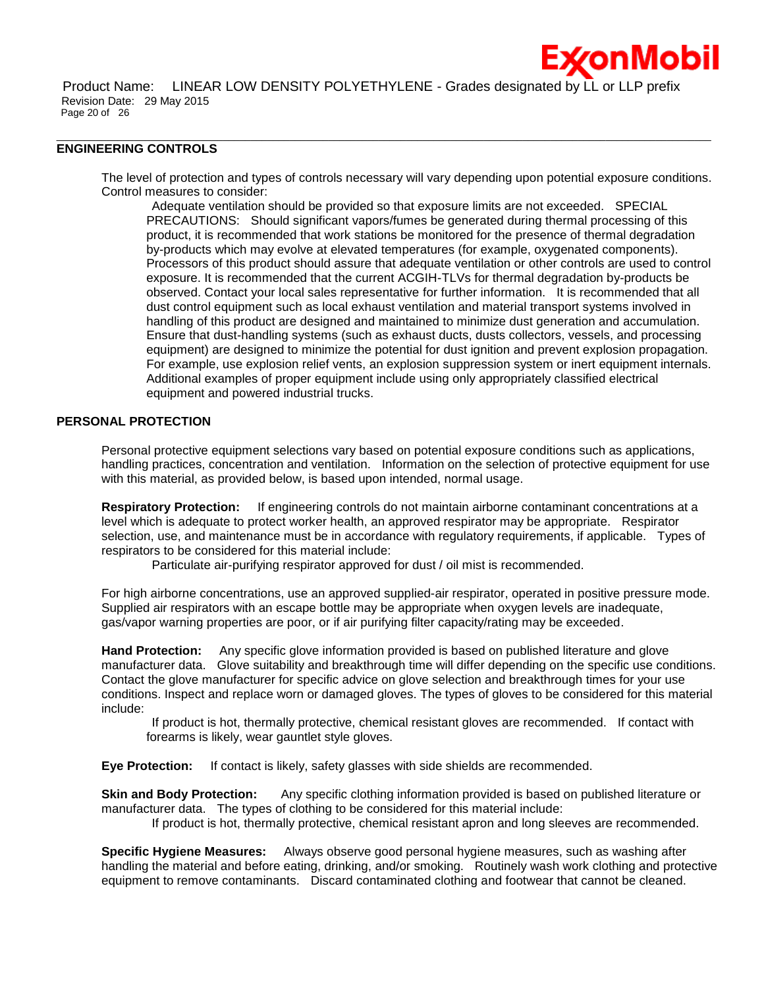

\_\_\_\_\_\_\_\_\_\_\_\_\_\_\_\_\_\_\_\_\_\_\_\_\_\_\_\_\_\_\_\_\_\_\_\_\_\_\_\_\_\_\_\_\_\_\_\_\_\_\_\_\_\_\_\_\_\_\_\_\_\_\_\_\_\_\_\_\_\_\_\_\_\_\_\_\_\_\_\_\_\_\_\_\_\_\_\_\_\_\_\_\_\_\_\_\_\_\_\_\_\_\_\_\_\_\_\_\_\_\_\_\_\_\_\_\_\_

# **ENGINEERING CONTROLS**

The level of protection and types of controls necessary will vary depending upon potential exposure conditions. Control measures to consider:

Adequate ventilation should be provided so that exposure limits are not exceeded. SPECIAL PRECAUTIONS: Should significant vapors/fumes be generated during thermal processing of this product, it is recommended that work stations be monitored for the presence of thermal degradation by-products which may evolve at elevated temperatures (for example, oxygenated components). Processors of this product should assure that adequate ventilation or other controls are used to control exposure. It is recommended that the current ACGIH-TLVs for thermal degradation by-products be observed. Contact your local sales representative for further information. It is recommended that all dust control equipment such as local exhaust ventilation and material transport systems involved in handling of this product are designed and maintained to minimize dust generation and accumulation. Ensure that dust-handling systems (such as exhaust ducts, dusts collectors, vessels, and processing equipment) are designed to minimize the potential for dust ignition and prevent explosion propagation. For example, use explosion relief vents, an explosion suppression system or inert equipment internals. Additional examples of proper equipment include using only appropriately classified electrical equipment and powered industrial trucks.

### **PERSONAL PROTECTION**

Personal protective equipment selections vary based on potential exposure conditions such as applications, handling practices, concentration and ventilation. Information on the selection of protective equipment for use with this material, as provided below, is based upon intended, normal usage.

**Respiratory Protection:** If engineering controls do not maintain airborne contaminant concentrations at a level which is adequate to protect worker health, an approved respirator may be appropriate. Respirator selection, use, and maintenance must be in accordance with regulatory requirements, if applicable. Types of respirators to be considered for this material include:

Particulate air-purifying respirator approved for dust / oil mist is recommended.

For high airborne concentrations, use an approved supplied-air respirator, operated in positive pressure mode. Supplied air respirators with an escape bottle may be appropriate when oxygen levels are inadequate, gas/vapor warning properties are poor, or if air purifying filter capacity/rating may be exceeded.

**Hand Protection:** Any specific glove information provided is based on published literature and glove manufacturer data. Glove suitability and breakthrough time will differ depending on the specific use conditions. Contact the glove manufacturer for specific advice on glove selection and breakthrough times for your use conditions. Inspect and replace worn or damaged gloves. The types of gloves to be considered for this material include:

If product is hot, thermally protective, chemical resistant gloves are recommended. If contact with forearms is likely, wear gauntlet style gloves.

**Eye Protection:** If contact is likely, safety glasses with side shields are recommended.

**Skin and Body Protection:** Any specific clothing information provided is based on published literature or manufacturer data. The types of clothing to be considered for this material include: If product is hot, thermally protective, chemical resistant apron and long sleeves are recommended.

**Specific Hygiene Measures:** Always observe good personal hygiene measures, such as washing after handling the material and before eating, drinking, and/or smoking. Routinely wash work clothing and protective equipment to remove contaminants. Discard contaminated clothing and footwear that cannot be cleaned.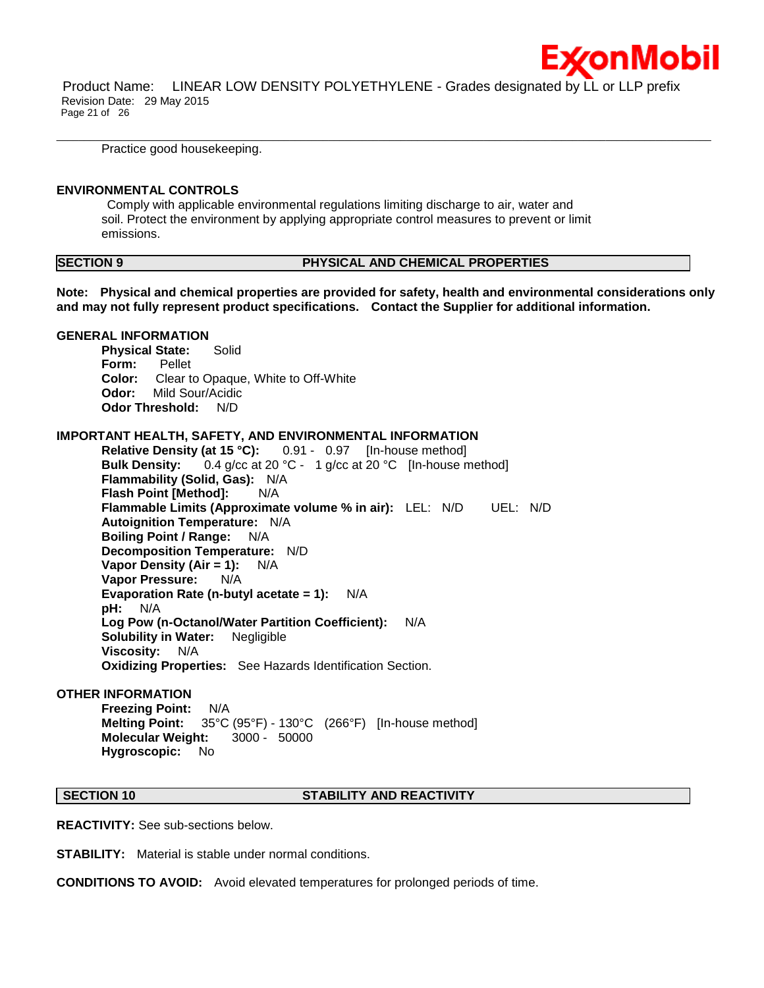

Product Name: LINEAR LOW DENSITY POLYETHYLENE - Grades designated by LL or LLP prefix Revision Date: 29 May 2015 Page 21 of 26

\_\_\_\_\_\_\_\_\_\_\_\_\_\_\_\_\_\_\_\_\_\_\_\_\_\_\_\_\_\_\_\_\_\_\_\_\_\_\_\_\_\_\_\_\_\_\_\_\_\_\_\_\_\_\_\_\_\_\_\_\_\_\_\_\_\_\_\_\_\_\_\_\_\_\_\_\_\_\_\_\_\_\_\_\_\_\_\_\_\_\_\_\_\_\_\_\_\_\_\_\_\_\_\_\_\_\_\_\_\_\_\_\_\_\_\_\_\_

Practice good housekeeping.

### **ENVIRONMENTAL CONTROLS**

Comply with applicable environmental regulations limiting discharge to air, water and soil. Protect the environment by applying appropriate control measures to prevent or limit emissions.

# **SECTION 9 PHYSICAL AND CHEMICAL PROPERTIES**

**Note: Physical and chemical properties are provided for safety, health and environmental considerations only and may not fully represent product specifications. Contact the Supplier for additional information.**

### **GENERAL INFORMATION**

**Physical State:** Solid **Form:** Pellet **Color:** Clear to Opaque, White to Off-White **Odor:** Mild Sour/Acidic **Odor Threshold:** N/D

### **IMPORTANT HEALTH, SAFETY, AND ENVIRONMENTAL INFORMATION**

**Relative Density (at 15 °C):** 0.91 - 0.97 [In-house method] **Bulk Density:** 0.4 g/cc at 20 °C - 1 g/cc at 20 °C [In-house method] **Flammability (Solid, Gas):** N/A **Flash Point [Method]: N/A Flammable Limits (Approximate volume % in air):** LEL: N/D UEL: N/D **Autoignition Temperature:** N/A **Boiling Point / Range:** N/A **Decomposition Temperature:** N/D **Vapor Density (Air = 1):** N/A **Vapor Pressure:** N/A **Evaporation Rate (n-butyl acetate = 1):** N/A **pH:** N/A **Log Pow (n-Octanol/Water Partition Coefficient):** N/A **Solubility in Water:** Negligible **Viscosity:** N/A **Oxidizing Properties:** See Hazards Identification Section.

## **OTHER INFORMATION**

**Freezing Point:** N/A **Melting Point:** 35°C (95°F) - 130°C (266°F) [In-house method] **Molecular Weight:** 3000 - 50000 **Hygroscopic:** No

### **SECTION 10 STABILITY AND REACTIVITY**

**REACTIVITY:** See sub-sections below.

**STABILITY:** Material is stable under normal conditions.

**CONDITIONS TO AVOID:** Avoid elevated temperatures for prolonged periods of time.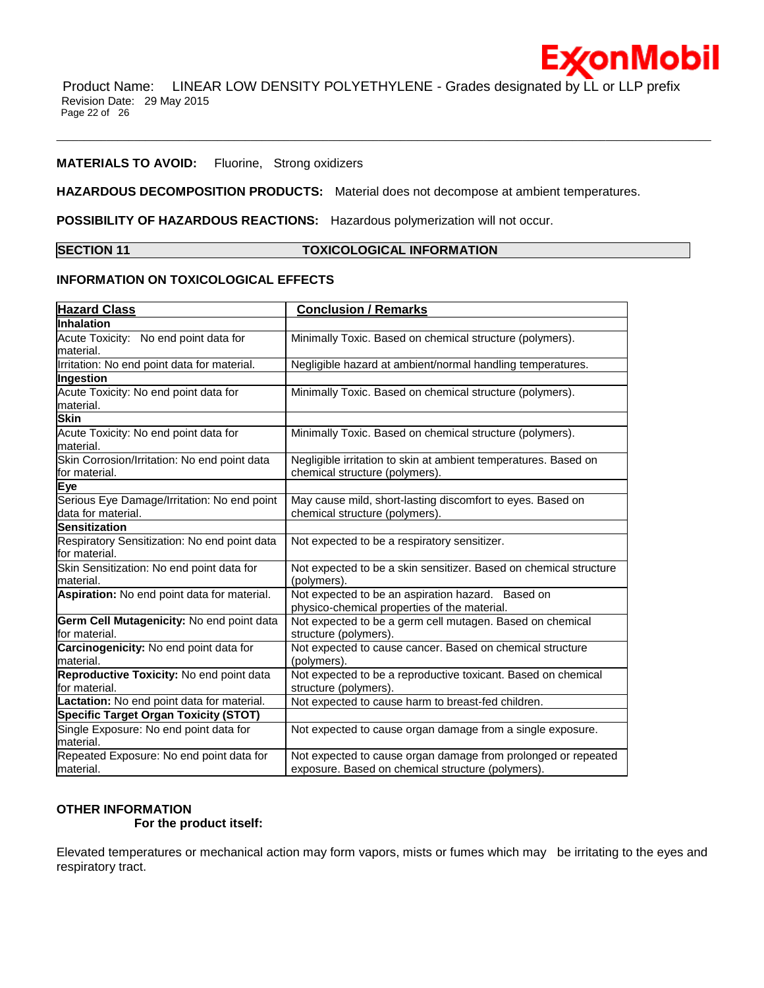\_\_\_\_\_\_\_\_\_\_\_\_\_\_\_\_\_\_\_\_\_\_\_\_\_\_\_\_\_\_\_\_\_\_\_\_\_\_\_\_\_\_\_\_\_\_\_\_\_\_\_\_\_\_\_\_\_\_\_\_\_\_\_\_\_\_\_\_\_\_\_\_\_\_\_\_\_\_\_\_\_\_\_\_\_\_\_\_\_\_\_\_\_\_\_\_\_\_\_\_\_\_\_\_\_\_\_\_\_\_\_\_\_\_\_\_\_\_

**ExconMobil** 

### **MATERIALS TO AVOID:** Fluorine, Strong oxidizers

**HAZARDOUS DECOMPOSITION PRODUCTS:** Material does not decompose at ambient temperatures.

**POSSIBILITY OF HAZARDOUS REACTIONS:** Hazardous polymerization will not occur.

# **SECTION 11 TOXICOLOGICAL INFORMATION**

### **INFORMATION ON TOXICOLOGICAL EFFECTS**

| <b>Hazard Class</b>                                           | <b>Conclusion / Remarks</b>                                                                       |
|---------------------------------------------------------------|---------------------------------------------------------------------------------------------------|
| Inhalation                                                    |                                                                                                   |
| Acute Toxicity: No end point data for                         | Minimally Toxic. Based on chemical structure (polymers).                                          |
| material.                                                     |                                                                                                   |
| Irritation: No end point data for material.                   | Negligible hazard at ambient/normal handling temperatures.                                        |
| Ingestion                                                     |                                                                                                   |
| Acute Toxicity: No end point data for                         | Minimally Toxic. Based on chemical structure (polymers).                                          |
| material.                                                     |                                                                                                   |
| <b>Skin</b>                                                   |                                                                                                   |
| Acute Toxicity: No end point data for<br>lmaterial.           | Minimally Toxic. Based on chemical structure (polymers).                                          |
| Skin Corrosion/Irritation: No end point data<br>for material. | Negligible irritation to skin at ambient temperatures. Based on<br>chemical structure (polymers). |
| Eye                                                           |                                                                                                   |
| Serious Eye Damage/Irritation: No end point                   | May cause mild, short-lasting discomfort to eyes. Based on                                        |
| data for material.                                            | chemical structure (polymers).                                                                    |
| Sensitization                                                 |                                                                                                   |
| Respiratory Sensitization: No end point data<br>for material. | Not expected to be a respiratory sensitizer.                                                      |
| Skin Sensitization: No end point data for                     | Not expected to be a skin sensitizer. Based on chemical structure                                 |
| lmaterial.                                                    | (polymers).                                                                                       |
| Aspiration: No end point data for material.                   | Not expected to be an aspiration hazard. Based on<br>physico-chemical properties of the material. |
| Germ Cell Mutagenicity: No end point data<br>for material.    | Not expected to be a germ cell mutagen. Based on chemical<br>structure (polymers).                |
| Carcinogenicity: No end point data for                        | Not expected to cause cancer. Based on chemical structure                                         |
| lmaterial.                                                    | (polymers).                                                                                       |
| Reproductive Toxicity: No end point data                      | Not expected to be a reproductive toxicant. Based on chemical                                     |
| for material.                                                 | structure (polymers).                                                                             |
| Lactation: No end point data for material.                    | Not expected to cause harm to breast-fed children.                                                |
| <b>Specific Target Organ Toxicity (STOT)</b>                  |                                                                                                   |
| Single Exposure: No end point data for<br>lmaterial.          | Not expected to cause organ damage from a single exposure.                                        |
| Repeated Exposure: No end point data for                      | Not expected to cause organ damage from prolonged or repeated                                     |
| material.                                                     | exposure. Based on chemical structure (polymers).                                                 |

# **OTHER INFORMATION**

 **For the product itself:** 

Elevated temperatures or mechanical action may form vapors, mists or fumes which may be irritating to the eyes and respiratory tract.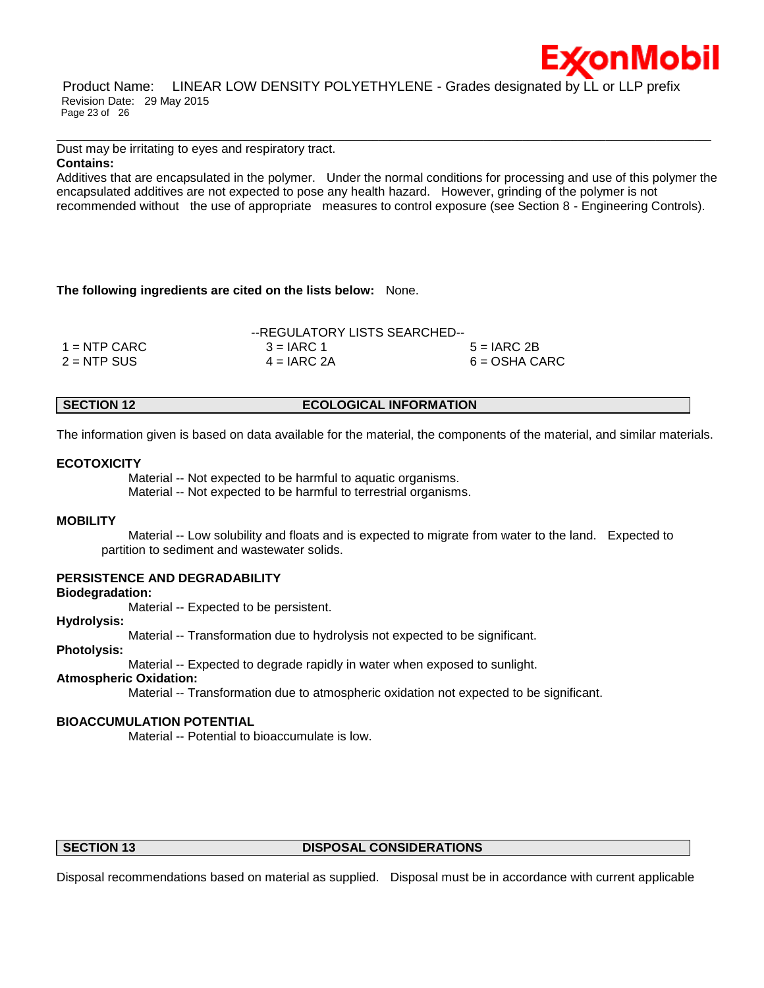

Product Name: LINEAR LOW DENSITY POLYETHYLENE - Grades designated by LL or LLP prefix Revision Date: 29 May 2015 Page 23 of 26

Dust may be irritating to eyes and respiratory tract.

# **Contains:**

Additives that are encapsulated in the polymer. Under the normal conditions for processing and use of this polymer the encapsulated additives are not expected to pose any health hazard. However, grinding of the polymer is not recommended without the use of appropriate measures to control exposure (see Section 8 - Engineering Controls).

\_\_\_\_\_\_\_\_\_\_\_\_\_\_\_\_\_\_\_\_\_\_\_\_\_\_\_\_\_\_\_\_\_\_\_\_\_\_\_\_\_\_\_\_\_\_\_\_\_\_\_\_\_\_\_\_\_\_\_\_\_\_\_\_\_\_\_\_\_\_\_\_\_\_\_\_\_\_\_\_\_\_\_\_\_\_\_\_\_\_\_\_\_\_\_\_\_\_\_\_\_\_\_\_\_\_\_\_\_\_\_\_\_\_\_\_\_\_

### **The following ingredients are cited on the lists below:** None.

|                | --REGULATORY LISTS SEARCHED-- |                 |  |  |
|----------------|-------------------------------|-----------------|--|--|
| $1 =$ NTP CARC | $3 = IARC 1$                  | $5 = IARC2B$    |  |  |
| $2 = NTP$ SUS  | $4 = IARC 2A$                 | $6 = OSHA CARC$ |  |  |

**SECTION 12 ECOLOGICAL INFORMATION** 

The information given is based on data available for the material, the components of the material, and similar materials.

### **ECOTOXICITY**

 Material -- Not expected to be harmful to aquatic organisms. Material -- Not expected to be harmful to terrestrial organisms.

### **MOBILITY**

 Material -- Low solubility and floats and is expected to migrate from water to the land. Expected to partition to sediment and wastewater solids.

# **PERSISTENCE AND DEGRADABILITY**

### **Biodegradation:**

Material -- Expected to be persistent.

### **Hydrolysis:**

Material -- Transformation due to hydrolysis not expected to be significant.

# **Photolysis:**

Material -- Expected to degrade rapidly in water when exposed to sunlight.

# **Atmospheric Oxidation:**

Material -- Transformation due to atmospheric oxidation not expected to be significant.

# **BIOACCUMULATION POTENTIAL**

Material -- Potential to bioaccumulate is low.

# **SECTION 13 DISPOSAL CONSIDERATIONS**

Disposal recommendations based on material as supplied. Disposal must be in accordance with current applicable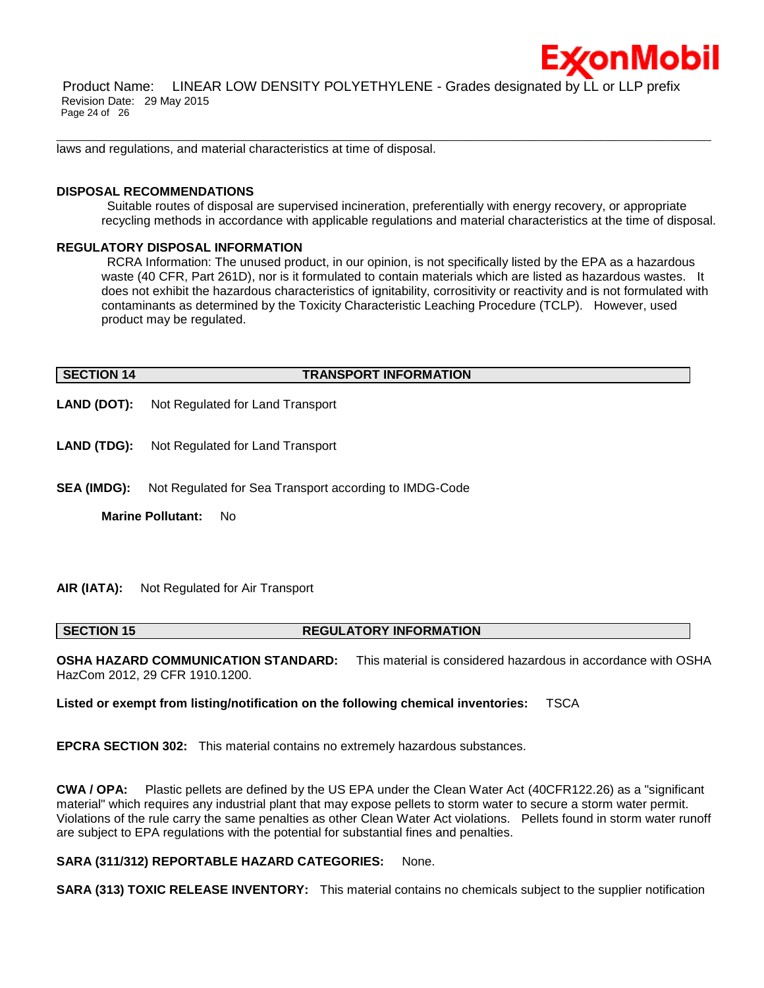

Product Name: LINEAR LOW DENSITY POLYETHYLENE - Grades designated by LL or LLP prefix Revision Date: 29 May 2015 Page 24 of 26

\_\_\_\_\_\_\_\_\_\_\_\_\_\_\_\_\_\_\_\_\_\_\_\_\_\_\_\_\_\_\_\_\_\_\_\_\_\_\_\_\_\_\_\_\_\_\_\_\_\_\_\_\_\_\_\_\_\_\_\_\_\_\_\_\_\_\_\_\_\_\_\_\_\_\_\_\_\_\_\_\_\_\_\_\_\_\_\_\_\_\_\_\_\_\_\_\_\_\_\_\_\_\_\_\_\_\_\_\_\_\_\_\_\_\_\_\_\_

laws and regulations, and material characteristics at time of disposal.

### **DISPOSAL RECOMMENDATIONS**

Suitable routes of disposal are supervised incineration, preferentially with energy recovery, or appropriate recycling methods in accordance with applicable regulations and material characteristics at the time of disposal.

### **REGULATORY DISPOSAL INFORMATION**

RCRA Information: The unused product, in our opinion, is not specifically listed by the EPA as a hazardous waste (40 CFR, Part 261D), nor is it formulated to contain materials which are listed as hazardous wastes. It does not exhibit the hazardous characteristics of ignitability, corrositivity or reactivity and is not formulated with contaminants as determined by the Toxicity Characteristic Leaching Procedure (TCLP). However, used product may be regulated.

# **SECTION 14 TRANSPORT INFORMATION**

**LAND (DOT):** Not Regulated for Land Transport

- **LAND (TDG):** Not Regulated for Land Transport
- **SEA (IMDG):** Not Regulated for Sea Transport according to IMDG-Code

**Marine Pollutant:** No

### **AIR (IATA):** Not Regulated for Air Transport

**SECTION 15 REGULATORY INFORMATION** 

**OSHA HAZARD COMMUNICATION STANDARD:** This material is considered hazardous in accordance with OSHA HazCom 2012, 29 CFR 1910.1200.

**Listed or exempt from listing/notification on the following chemical inventories:** TSCA

**EPCRA SECTION 302:** This material contains no extremely hazardous substances.

**CWA / OPA:** Plastic pellets are defined by the US EPA under the Clean Water Act (40CFR122.26) as a "significant material" which requires any industrial plant that may expose pellets to storm water to secure a storm water permit. Violations of the rule carry the same penalties as other Clean Water Act violations. Pellets found in storm water runoff are subject to EPA regulations with the potential for substantial fines and penalties.

# **SARA (311/312) REPORTABLE HAZARD CATEGORIES:** None.

**SARA (313) TOXIC RELEASE INVENTORY:** This material contains no chemicals subject to the supplier notification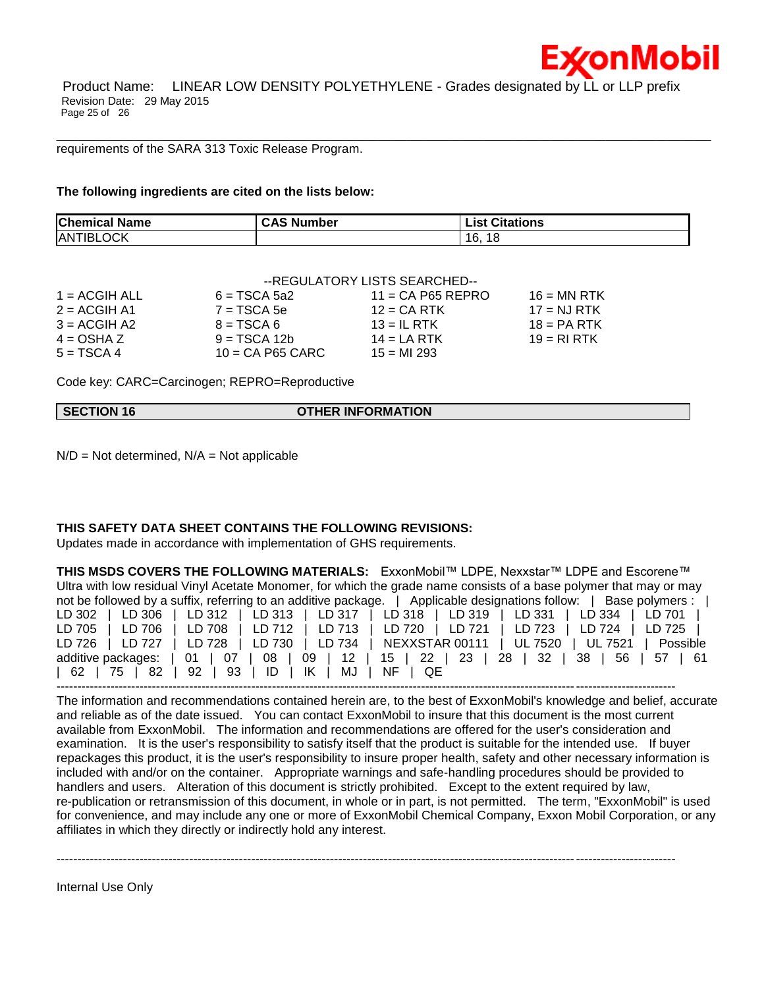Product Name: LINEAR LOW DENSITY POLYETHYLENE - Grades designated by LL or LLP prefix Revision Date: 29 May 2015 Page 25 of 26

\_\_\_\_\_\_\_\_\_\_\_\_\_\_\_\_\_\_\_\_\_\_\_\_\_\_\_\_\_\_\_\_\_\_\_\_\_\_\_\_\_\_\_\_\_\_\_\_\_\_\_\_\_\_\_\_\_\_\_\_\_\_\_\_\_\_\_\_\_\_\_\_\_\_\_\_\_\_\_\_\_\_\_\_\_\_\_\_\_\_\_\_\_\_\_\_\_\_\_\_\_\_\_\_\_\_\_\_\_\_\_\_\_\_\_\_\_\_

requirements of the SARA 313 Toxic Release Program.

**The following ingredients are cited on the lists below:**

| <b>Chemical Name</b> | <b>CAS</b><br>Number | <b>List Citations</b> |
|----------------------|----------------------|-----------------------|
| <b>ANTIBLOCK</b>     |                      | 16.<br>18             |

|                 | --REGULATORY LISTS SEARCHED-- |                     |               |  |
|-----------------|-------------------------------|---------------------|---------------|--|
| $1 = ACGIH ALL$ | $6 = TSCA 5a2$                | $11 = CA$ P65 REPRO | $16 = MN$ RTK |  |
| $2 = ACGIH A1$  | $7 = TSCA 5e$                 | $12 = CA$ RTK       | $17 = NJ RTK$ |  |
| $3 = ACGIH A2$  | $8 = TSCA6$                   | $13 = IL$ RTK       | $18 = PA RTK$ |  |
| $4 = OSHA Z$    | $9 = TSCA 12b$                | $14 = LA RTK$       | $19 = R1 RTK$ |  |
| $5 = TSCA 4$    | $10 = CA$ P65 CARC            | $15 = M1 293$       |               |  |

Code key: CARC=Carcinogen; REPRO=Reproductive

|  | <b>SECTION 16</b> | <b>OTHER INFORMATION</b> |
|--|-------------------|--------------------------|
|--|-------------------|--------------------------|

 $N/D = Not determined$ ,  $N/A = Not$  applicable

# **THIS SAFETY DATA SHEET CONTAINS THE FOLLOWING REVISIONS:**

Updates made in accordance with implementation of GHS requirements.

**THIS MSDS COVERS THE FOLLOWING MATERIALS:** ExxonMobil™ LDPE, Nexxstar™ LDPE and Escorene™ Ultra with low residual Vinyl Acetate Monomer, for which the grade name consists of a base polymer that may or may not be followed by a suffix, referring to an additive package.  $\overrightarrow{a}$  Applicable designations follow:  $\overrightarrow{b}$  Base polymers  $\overrightarrow{a}$  L

|  |                                                 | LD 302   LD 306   LD 312   LD 313   LD 317   LD 318   LD 319   LD 331   LD 334   LD 701    |  |
|--|-------------------------------------------------|--------------------------------------------------------------------------------------------|--|
|  |                                                 | LD 705   LD 706   LD 708   LD 712   LD 713   LD 720   LD 721   LD 723   LD 724   LD 725    |  |
|  |                                                 | LD 726   LD 727   LD 728   LD 730   LD 734   NEXXSTAR 00111   UL 7520   UL 7521   Possible |  |
|  |                                                 | additive packages:   01   07   08   09   12   15   22   23   28   32   38   56   57   61   |  |
|  | 62   75   82   92   93   ID   IK   MJ   NF   QE |                                                                                            |  |
|  |                                                 |                                                                                            |  |

The information and recommendations contained herein are, to the best of ExxonMobil's knowledge and belief, accurate and reliable as of the date issued. You can contact ExxonMobil to insure that this document is the most current available from ExxonMobil. The information and recommendations are offered for the user's consideration and examination. It is the user's responsibility to satisfy itself that the product is suitable for the intended use. If buyer repackages this product, it is the user's responsibility to insure proper health, safety and other necessary information is included with and/or on the container. Appropriate warnings and safe-handling procedures should be provided to handlers and users. Alteration of this document is strictly prohibited. Except to the extent required by law, re-publication or retransmission of this document, in whole or in part, is not permitted. The term, "ExxonMobil" is used for convenience, and may include any one or more of ExxonMobil Chemical Company, Exxon Mobil Corporation, or any affiliates in which they directly or indirectly hold any interest.

-----------------------------------------------------------------------------------------------------------------------------------------------------

Internal Use Only